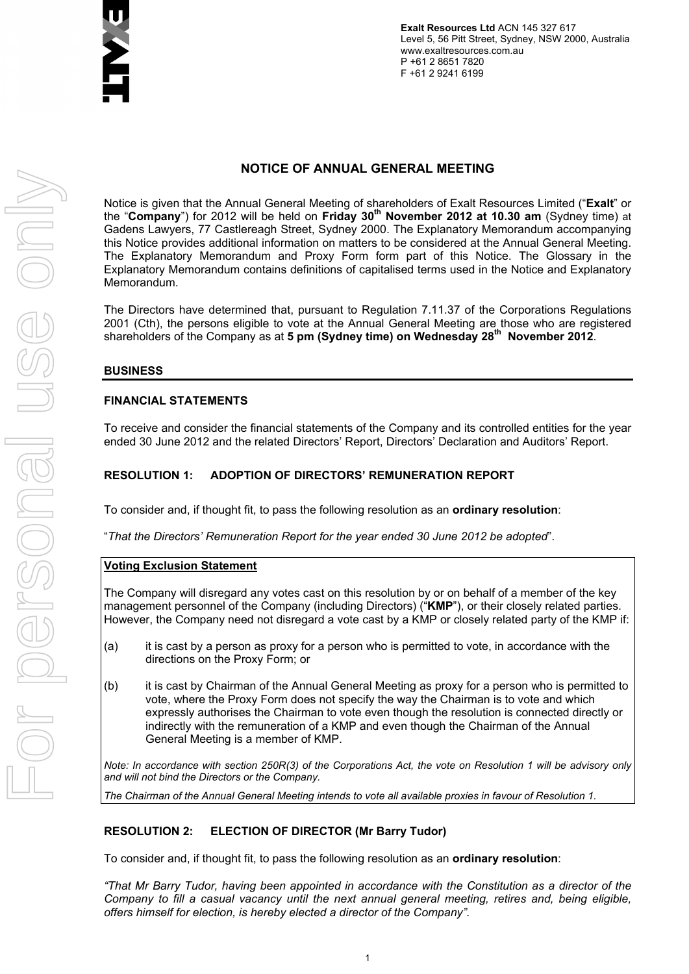**Exalt Resources Ltd** ACN 145 327 617 Level 5, 56 Pitt Street, Sydney, NSW 2000, Australia www.exaltresources.com.au P +61 2 8651 7820 F +61 2 9241 6199

# **NOTICE OF ANNUAL GENERAL MEETING**

Notice is given that the Annual General Meeting of shareholders of Exalt Resources Limited ("**Exalt**" or the "**Company**") for 2012 will be held on **Friday 30th November 2012 at 10.30 am** (Sydney time) at Gadens Lawyers, 77 Castlereagh Street, Sydney 2000. The Explanatory Memorandum accompanying this Notice provides additional information on matters to be considered at the Annual General Meeting. The Explanatory Memorandum and Proxy Form form part of this Notice. The Glossary in the Explanatory Memorandum contains definitions of capitalised terms used in the Notice and Explanatory Memorandum.

The Directors have determined that, pursuant to Regulation 7.11.37 of the Corporations Regulations 2001 (Cth), the persons eligible to vote at the Annual General Meeting are those who are registered shareholders of the Company as at **5 pm (Sydney time) on Wednesday 28th November 2012**.

# **BUSINESS**

# **FINANCIAL STATEMENTS**

To receive and consider the financial statements of the Company and its controlled entities for the year ended 30 June 2012 and the related Directors' Report, Directors' Declaration and Auditors' Report.

# **RESOLUTION 1: ADOPTION OF DIRECTORS' REMUNERATION REPORT**

To consider and, if thought fit, to pass the following resolution as an **ordinary resolution**:

"*That the Directors' Remuneration Report for the year ended 30 June 2012 be adopted*".

# **Voting Exclusion Statement**

The Company will disregard any votes cast on this resolution by or on behalf of a member of the key management personnel of the Company (including Directors) ("**KMP**"), or their closely related parties. However, the Company need not disregard a vote cast by a KMP or closely related party of the KMP if:

- (a) it is cast by a person as proxy for a person who is permitted to vote, in accordance with the directions on the Proxy Form; or
- (b) it is cast by Chairman of the Annual General Meeting as proxy for a person who is permitted to vote, where the Proxy Form does not specify the way the Chairman is to vote and which expressly authorises the Chairman to vote even though the resolution is connected directly or indirectly with the remuneration of a KMP and even though the Chairman of the Annual General Meeting is a member of KMP.

*Note: In accordance with section 250R(3) of the Corporations Act, the vote on Resolution 1 will be advisory only and will not bind the Directors or the Company.* 

*The Chairman of the Annual General Meeting intends to vote all available proxies in favour of Resolution 1.* 

# **RESOLUTION 2: ELECTION OF DIRECTOR (Mr Barry Tudor)**

To consider and, if thought fit, to pass the following resolution as an **ordinary resolution**:

*"That Mr Barry Tudor, having been appointed in accordance with the Constitution as a director of the Company to fill a casual vacancy until the next annual general meeting, retires and, being eligible, offers himself for election, is hereby elected a director of the Company".*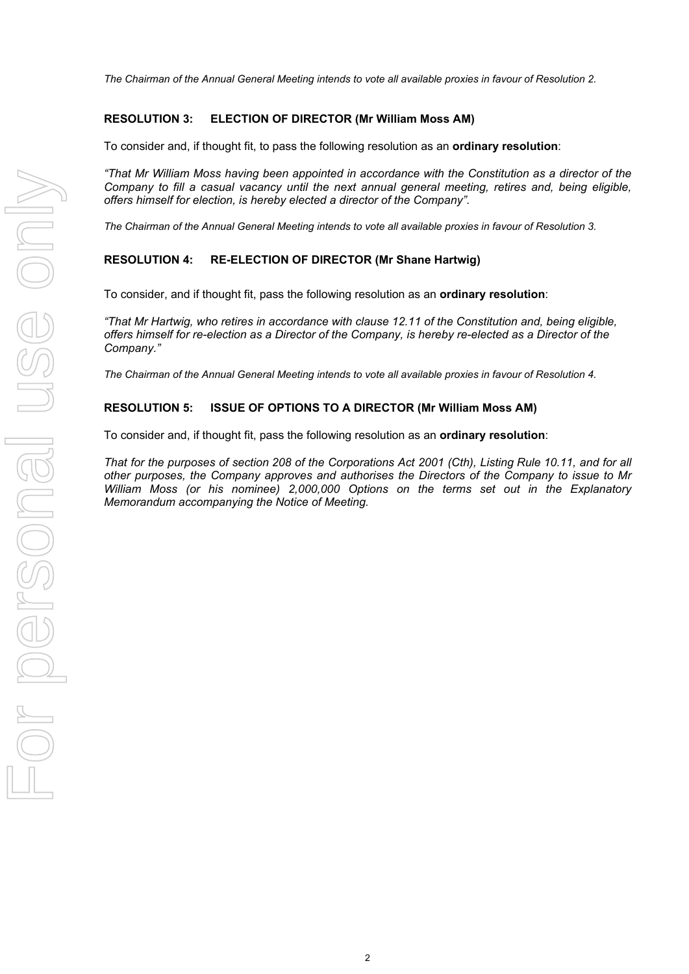*The Chairman of the Annual General Meeting intends to vote all available proxies in favour of Resolution 2.*

# **RESOLUTION 3: ELECTION OF DIRECTOR (Mr William Moss AM)**

To consider and, if thought fit, to pass the following resolution as an **ordinary resolution**:

*"That Mr William Moss having been appointed in accordance with the Constitution as a director of the Company to fill a casual vacancy until the next annual general meeting, retires and, being eligible, offers himself for election, is hereby elected a director of the Company".* 

*The Chairman of the Annual General Meeting intends to vote all available proxies in favour of Resolution 3.*

# **RESOLUTION 4: RE-ELECTION OF DIRECTOR (Mr Shane Hartwig)**

To consider, and if thought fit, pass the following resolution as an **ordinary resolution**:

*"That Mr Hartwig, who retires in accordance with clause 12.11 of the Constitution and, being eligible, offers himself for re-election as a Director of the Company, is hereby re-elected as a Director of the Company."* 

*The Chairman of the Annual General Meeting intends to vote all available proxies in favour of Resolution 4.*

# **RESOLUTION 5: ISSUE OF OPTIONS TO A DIRECTOR (Mr William Moss AM)**

To consider and, if thought fit, pass the following resolution as an **ordinary resolution**:

*That for the purposes of section 208 of the Corporations Act 2001 (Cth), Listing Rule 10.11, and for all other purposes, the Company approves and authorises the Directors of the Company to issue to Mr William Moss (or his nominee) 2,000,000 Options on the terms set out in the Explanatory Memorandum accompanying the Notice of Meeting.*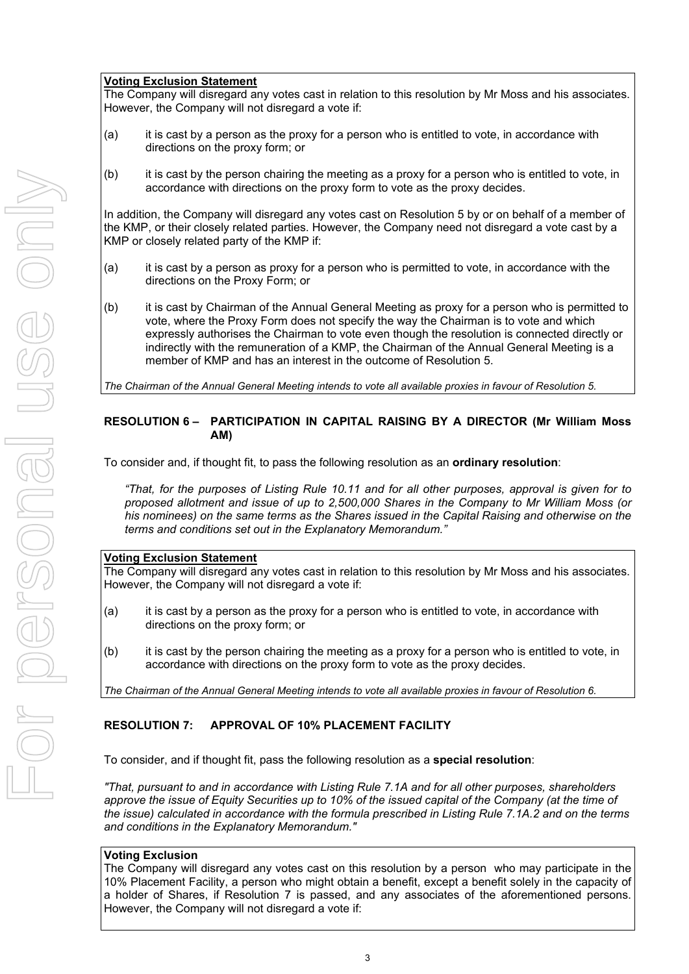# **Voting Exclusion Statement**

The Company will disregard any votes cast in relation to this resolution by Mr Moss and his associates. However, the Company will not disregard a vote if:

- (a) it is cast by a person as the proxy for a person who is entitled to vote, in accordance with directions on the proxy form; or
- (b) it is cast by the person chairing the meeting as a proxy for a person who is entitled to vote, in accordance with directions on the proxy form to vote as the proxy decides.

In addition, the Company will disregard any votes cast on Resolution 5 by or on behalf of a member of the KMP, or their closely related parties. However, the Company need not disregard a vote cast by a KMP or closely related party of the KMP if:

- (a) it is cast by a person as proxy for a person who is permitted to vote, in accordance with the directions on the Proxy Form; or
- (b) it is cast by Chairman of the Annual General Meeting as proxy for a person who is permitted to vote, where the Proxy Form does not specify the way the Chairman is to vote and which expressly authorises the Chairman to vote even though the resolution is connected directly or indirectly with the remuneration of a KMP, the Chairman of the Annual General Meeting is a member of KMP and has an interest in the outcome of Resolution 5.

*The Chairman of the Annual General Meeting intends to vote all available proxies in favour of Resolution 5.*

# **RESOLUTION 6 – PARTICIPATION IN CAPITAL RAISING BY A DIRECTOR (Mr William Moss AM)**

To consider and, if thought fit, to pass the following resolution as an **ordinary resolution**:

*"That, for the purposes of Listing Rule 10.11 and for all other purposes, approval is given for to proposed allotment and issue of up to 2,500,000 Shares in the Company to Mr William Moss (or his nominees) on the same terms as the Shares issued in the Capital Raising and otherwise on the terms and conditions set out in the Explanatory Memorandum."*

### **Voting Exclusion Statement**

The Company will disregard any votes cast in relation to this resolution by Mr Moss and his associates. However, the Company will not disregard a vote if:

- (a) it is cast by a person as the proxy for a person who is entitled to vote, in accordance with directions on the proxy form; or
- (b) it is cast by the person chairing the meeting as a proxy for a person who is entitled to vote, in accordance with directions on the proxy form to vote as the proxy decides.

*The Chairman of the Annual General Meeting intends to vote all available proxies in favour of Resolution 6.*

# **RESOLUTION 7: APPROVAL OF 10% PLACEMENT FACILITY**

To consider, and if thought fit, pass the following resolution as a **special resolution**:

*"That, pursuant to and in accordance with Listing Rule 7.1A and for all other purposes, shareholders approve the issue of Equity Securities up to 10% of the issued capital of the Company (at the time of the issue) calculated in accordance with the formula prescribed in Listing Rule 7.1A.2 and on the terms and conditions in the Explanatory Memorandum."* 

### **Voting Exclusion**

The Company will disregard any votes cast on this resolution by a person who may participate in the 10% Placement Facility, a person who might obtain a benefit, except a benefit solely in the capacity of a holder of Shares, if Resolution 7 is passed, and any associates of the aforementioned persons. However, the Company will not disregard a vote if: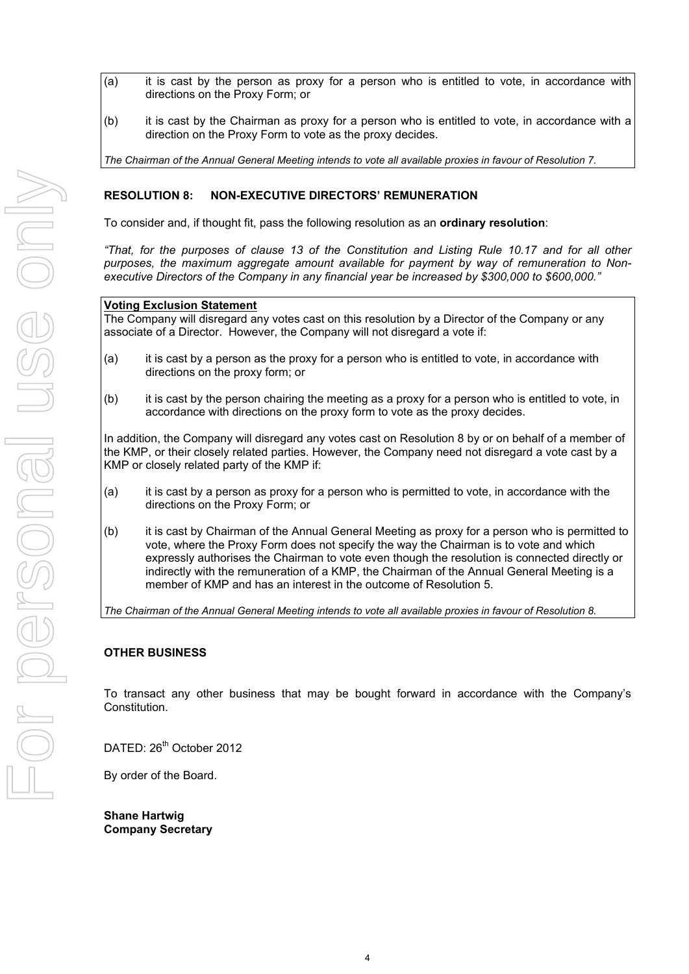- (a) it is cast by the person as proxy for a person who is entitled to vote, in accordance with directions on the Proxy Form; or
- (b) it is cast by the Chairman as proxy for a person who is entitled to vote, in accordance with a direction on the Proxy Form to vote as the proxy decides.

*The Chairman of the Annual General Meeting intends to vote all available proxies in favour of Resolution 7.*

# **RESOLUTION 8: NON-EXECUTIVE DIRECTORS' REMUNERATION**

To consider and, if thought fit, pass the following resolution as an **ordinary resolution**:

*"That, for the purposes of clause 13 of the Constitution and Listing Rule 10.17 and for all other purposes, the maximum aggregate amount available for payment by way of remuneration to Nonexecutive Directors of the Company in any financial year be increased by \$300,000 to \$600,000."* 

#### **Voting Exclusion Statement**

The Company will disregard any votes cast on this resolution by a Director of the Company or any associate of a Director. However, the Company will not disregard a vote if:

- (a) it is cast by a person as the proxy for a person who is entitled to vote, in accordance with directions on the proxy form; or
- (b) it is cast by the person chairing the meeting as a proxy for a person who is entitled to vote, in accordance with directions on the proxy form to vote as the proxy decides.

In addition, the Company will disregard any votes cast on Resolution 8 by or on behalf of a member of the KMP, or their closely related parties. However, the Company need not disregard a vote cast by a KMP or closely related party of the KMP if:

- (a) it is cast by a person as proxy for a person who is permitted to vote, in accordance with the directions on the Proxy Form; or
- (b) it is cast by Chairman of the Annual General Meeting as proxy for a person who is permitted to vote, where the Proxy Form does not specify the way the Chairman is to vote and which expressly authorises the Chairman to vote even though the resolution is connected directly or indirectly with the remuneration of a KMP, the Chairman of the Annual General Meeting is a member of KMP and has an interest in the outcome of Resolution 5.

*The Chairman of the Annual General Meeting intends to vote all available proxies in favour of Resolution 8.*

### **OTHER BUSINESS**

To transact any other business that may be bought forward in accordance with the Company's Constitution.

DATED: 26<sup>th</sup> October 2012

By order of the Board.

**Shane Hartwig Company Secretary**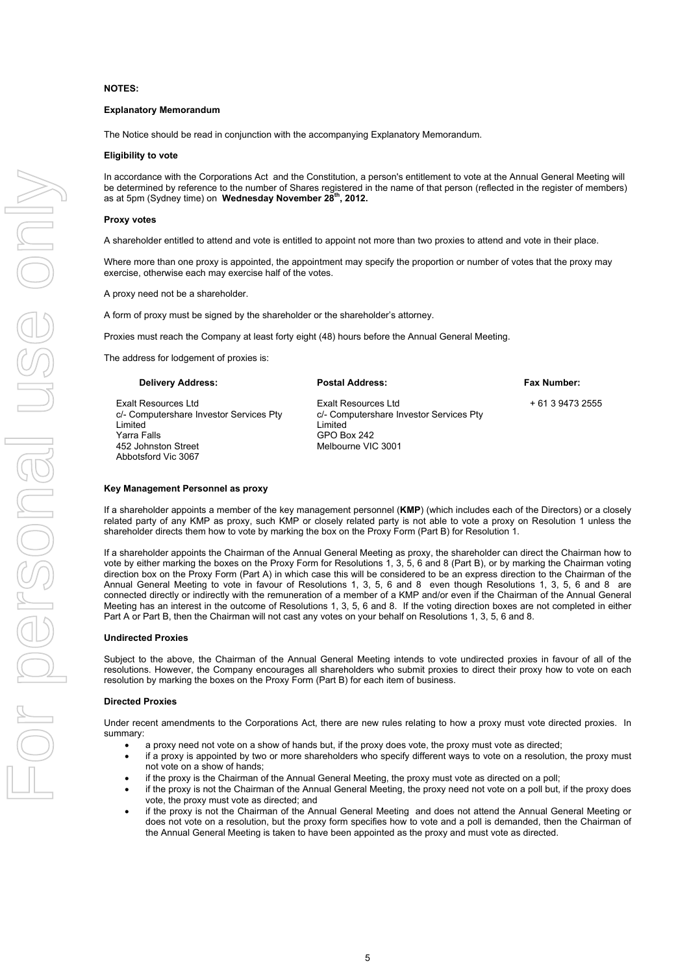#### **NOTES:**

#### **Explanatory Memorandum**

The Notice should be read in conjunction with the accompanying Explanatory Memorandum.

#### **Eligibility to vote**

In accordance with the Corporations Act and the Constitution, a person's entitlement to vote at the Annual General Meeting will be determined by reference to the number of Shares registered in the name of that person (reflected in the register of members) as at 5pm (Sydney time) on **Wednesday November 28th, 2012.**

#### **Proxy votes**

A shareholder entitled to attend and vote is entitled to appoint not more than two proxies to attend and vote in their place.

Where more than one proxy is appointed, the appointment may specify the proportion or number of votes that the proxy may exercise, otherwise each may exercise half of the votes.

A proxy need not be a shareholder.

A form of proxy must be signed by the shareholder or the shareholder's attorney.

Proxies must reach the Company at least forty eight (48) hours before the Annual General Meeting.

The address for lodgement of proxies is:

| <b>Delivery Address:</b>                                                                                                               | <b>Postal Address:</b>                                                                                         | <b>Fax Number:</b> |
|----------------------------------------------------------------------------------------------------------------------------------------|----------------------------------------------------------------------------------------------------------------|--------------------|
| Exalt Resources Ltd<br>c/- Computershare Investor Services Pty<br>Limited<br>Yarra Falls<br>452 Johnston Street<br>Abbotsford Vic 3067 | Exalt Resources Ltd<br>c/- Computershare Investor Services Pty<br>Limited<br>GPO Box 242<br>Melbourne VIC 3001 | + 61 3 9473 2555   |
|                                                                                                                                        |                                                                                                                |                    |

#### **Key Management Personnel as proxy**

If a shareholder appoints a member of the key management personnel (**KMP**) (which includes each of the Directors) or a closely related party of any KMP as proxy, such KMP or closely related party is not able to vote a proxy on Resolution 1 unless the shareholder directs them how to vote by marking the box on the Proxy Form (Part B) for Resolution 1.

If a shareholder appoints the Chairman of the Annual General Meeting as proxy, the shareholder can direct the Chairman how to vote by either marking the boxes on the Proxy Form for Resolutions 1, 3, 5, 6 and 8 (Part B), or by marking the Chairman voting direction box on the Proxy Form (Part A) in which case this will be considered to be an express direction to the Chairman of the Annual General Meeting to vote in favour of Resolutions 1, 3, 5, 6 and 8 even though Resolutions 1, 3, 5, 6 and 8 are connected directly or indirectly with the remuneration of a member of a KMP and/or even if the Chairman of the Annual General Meeting has an interest in the outcome of Resolutions 1, 3, 5, 6 and 8. If the voting direction boxes are not completed in either Part A or Part B, then the Chairman will not cast any votes on your behalf on Resolutions 1, 3, 5, 6 and 8.

#### **Undirected Proxies**

Subject to the above, the Chairman of the Annual General Meeting intends to vote undirected proxies in favour of all of the resolutions. However, the Company encourages all shareholders who submit proxies to direct their proxy how to vote on each resolution by marking the boxes on the Proxy Form (Part B) for each item of business.

#### **Directed Proxies**

Under recent amendments to the Corporations Act, there are new rules relating to how a proxy must vote directed proxies. In summary:

- a proxy need not vote on a show of hands but, if the proxy does vote, the proxy must vote as directed;
- if a proxy is appointed by two or more shareholders who specify different ways to vote on a resolution, the proxy must not vote on a show of hands;
- if the proxy is the Chairman of the Annual General Meeting, the proxy must vote as directed on a poll;
- if the proxy is not the Chairman of the Annual General Meeting, the proxy need not vote on a poll but, if the proxy does vote, the proxy must vote as directed; and
- if the proxy is not the Chairman of the Annual General Meeting and does not attend the Annual General Meeting or does not vote on a resolution, but the proxy form specifies how to vote and a poll is demanded, then the Chairman of the Annual General Meeting is taken to have been appointed as the proxy and must vote as directed.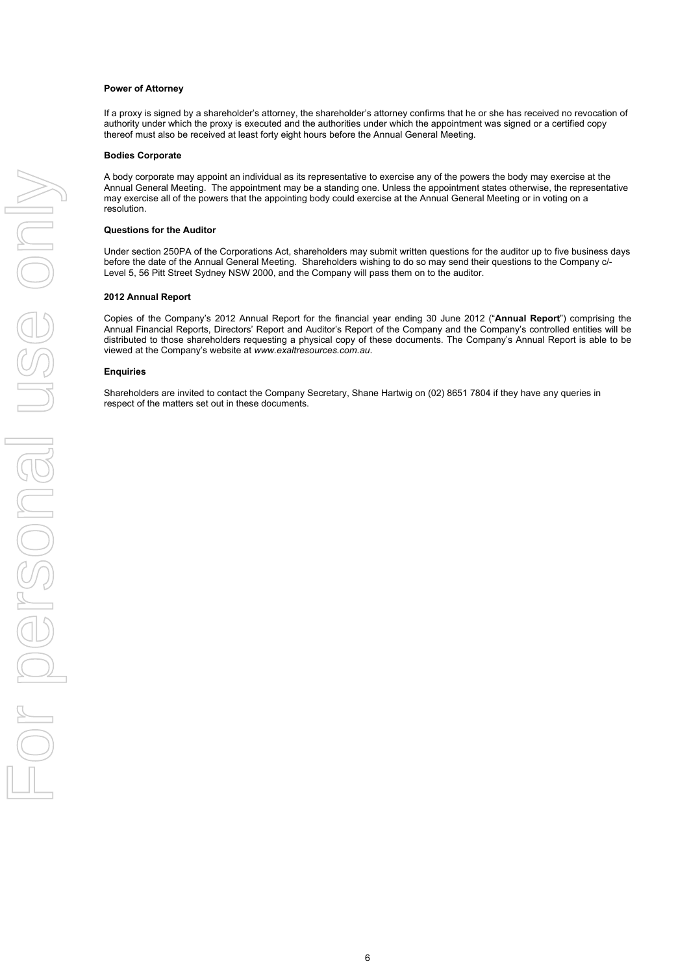#### **Power of Attorney**

If a proxy is signed by a shareholder's attorney, the shareholder's attorney confirms that he or she has received no revocation of authority under which the proxy is executed and the authorities under which the appointment was signed or a certified copy thereof must also be received at least forty eight hours before the Annual General Meeting.

#### **Bodies Corporate**

A body corporate may appoint an individual as its representative to exercise any of the powers the body may exercise at the Annual General Meeting. The appointment may be a standing one. Unless the appointment states otherwise, the representative may exercise all of the powers that the appointing body could exercise at the Annual General Meeting or in voting on a resolution.

#### **Questions for the Auditor**

Under section 250PA of the Corporations Act, shareholders may submit written questions for the auditor up to five business days before the date of the Annual General Meeting. Shareholders wishing to do so may send their questions to the Company c/- Level 5, 56 Pitt Street Sydney NSW 2000, and the Company will pass them on to the auditor.

#### **2012 Annual Report**

Copies of the Company's 2012 Annual Report for the financial year ending 30 June 2012 ("**Annual Report**") comprising the Annual Financial Reports, Directors' Report and Auditor's Report of the Company and the Company's controlled entities will be distributed to those shareholders requesting a physical copy of these documents. The Company's Annual Report is able to be viewed at the Company's website at *www.exaltresources.com.au*.

#### **Enquiries**

Shareholders are invited to contact the Company Secretary, Shane Hartwig on (02) 8651 7804 if they have any queries in respect of the matters set out in these documents.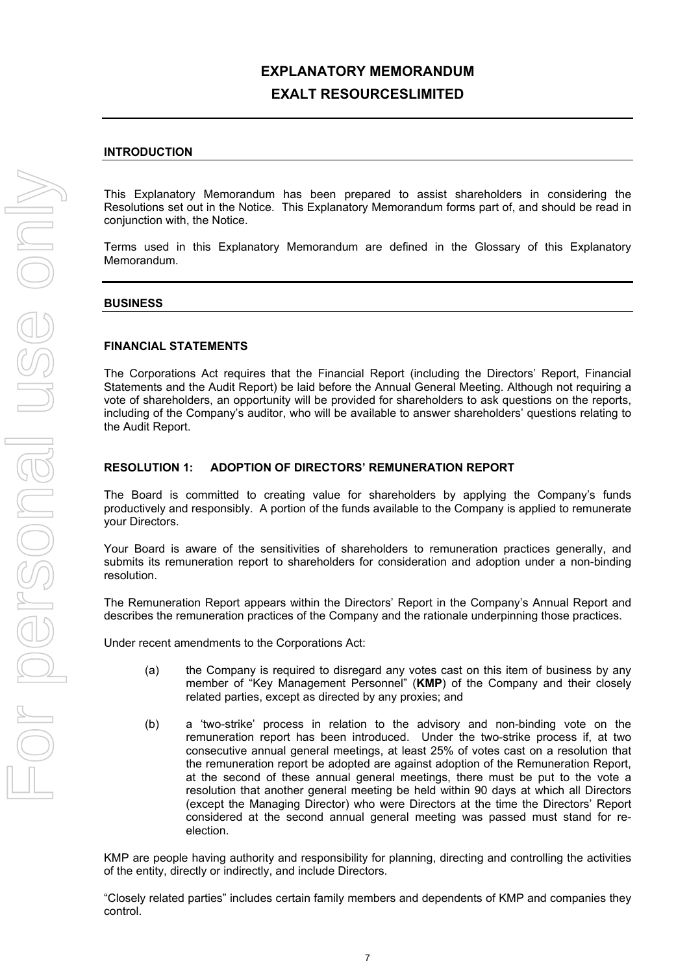# **EXPLANATORY MEMORANDUM EXALT RESOURCESLIMITED**

### **INTRODUCTION**

This Explanatory Memorandum has been prepared to assist shareholders in considering the Resolutions set out in the Notice. This Explanatory Memorandum forms part of, and should be read in conjunction with, the Notice.

Terms used in this Explanatory Memorandum are defined in the Glossary of this Explanatory Memorandum.

#### **BUSINESS**

#### **FINANCIAL STATEMENTS**

The Corporations Act requires that the Financial Report (including the Directors' Report, Financial Statements and the Audit Report) be laid before the Annual General Meeting. Although not requiring a vote of shareholders, an opportunity will be provided for shareholders to ask questions on the reports, including of the Company's auditor, who will be available to answer shareholders' questions relating to the Audit Report.

#### **RESOLUTION 1: ADOPTION OF DIRECTORS' REMUNERATION REPORT**

The Board is committed to creating value for shareholders by applying the Company's funds productively and responsibly. A portion of the funds available to the Company is applied to remunerate your Directors.

Your Board is aware of the sensitivities of shareholders to remuneration practices generally, and submits its remuneration report to shareholders for consideration and adoption under a non-binding resolution.

The Remuneration Report appears within the Directors' Report in the Company's Annual Report and describes the remuneration practices of the Company and the rationale underpinning those practices.

Under recent amendments to the Corporations Act:

- (a) the Company is required to disregard any votes cast on this item of business by any member of "Key Management Personnel" (**KMP**) of the Company and their closely related parties, except as directed by any proxies; and
- (b) a 'two-strike' process in relation to the advisory and non-binding vote on the remuneration report has been introduced. Under the two-strike process if, at two consecutive annual general meetings, at least 25% of votes cast on a resolution that the remuneration report be adopted are against adoption of the Remuneration Report, at the second of these annual general meetings, there must be put to the vote a resolution that another general meeting be held within 90 days at which all Directors (except the Managing Director) who were Directors at the time the Directors' Report considered at the second annual general meeting was passed must stand for reelection.

KMP are people having authority and responsibility for planning, directing and controlling the activities of the entity, directly or indirectly, and include Directors.

"Closely related parties" includes certain family members and dependents of KMP and companies they control.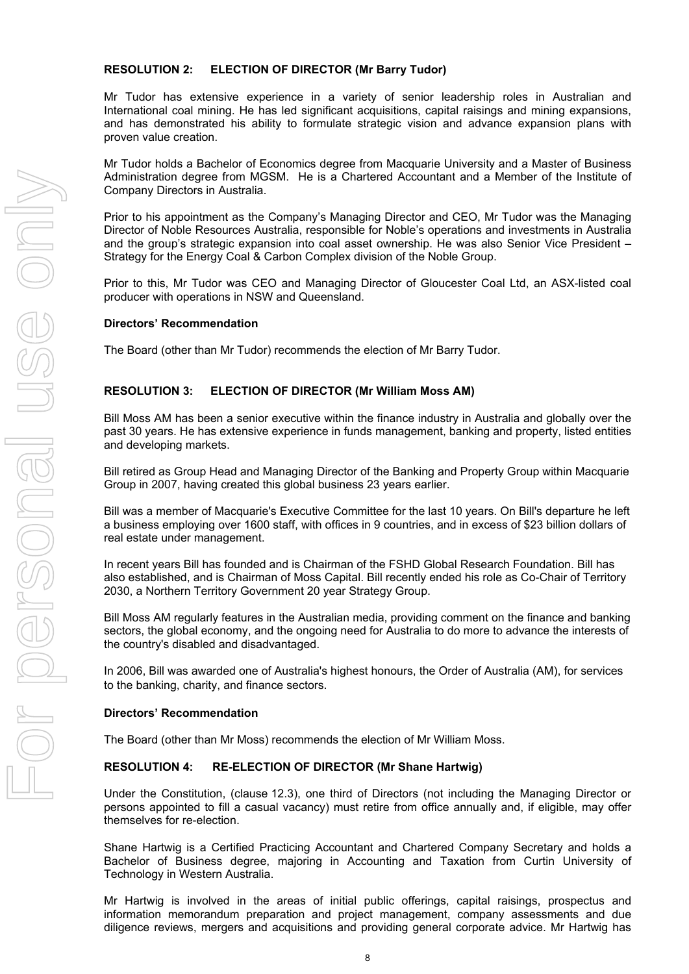# **RESOLUTION 2: ELECTION OF DIRECTOR (Mr Barry Tudor)**

Mr Tudor has extensive experience in a variety of senior leadership roles in Australian and International coal mining. He has led significant acquisitions, capital raisings and mining expansions, and has demonstrated his ability to formulate strategic vision and advance expansion plans with proven value creation.

Mr Tudor holds a Bachelor of Economics degree from Macquarie University and a Master of Business Administration degree from MGSM. He is a Chartered Accountant and a Member of the Institute of Company Directors in Australia.

Prior to his appointment as the Company's Managing Director and CEO, Mr Tudor was the Managing Director of Noble Resources Australia, responsible for Noble's operations and investments in Australia and the group's strategic expansion into coal asset ownership. He was also Senior Vice President – Strategy for the Energy Coal & Carbon Complex division of the Noble Group.

Prior to this, Mr Tudor was CEO and Managing Director of Gloucester Coal Ltd, an ASX-listed coal producer with operations in NSW and Queensland.

### **Directors' Recommendation**

The Board (other than Mr Tudor) recommends the election of Mr Barry Tudor.

#### **RESOLUTION 3: ELECTION OF DIRECTOR (Mr William Moss AM)**

Bill Moss AM has been a senior executive within the finance industry in Australia and globally over the past 30 years. He has extensive experience in funds management, banking and property, listed entities and developing markets.

Bill retired as Group Head and Managing Director of the Banking and Property Group within Macquarie Group in 2007, having created this global business 23 years earlier.

Bill was a member of Macquarie's Executive Committee for the last 10 years. On Bill's departure he left a business employing over 1600 staff, with offices in 9 countries, and in excess of \$23 billion dollars of real estate under management.

In recent years Bill has founded and is Chairman of the FSHD Global Research Foundation. Bill has also established, and is Chairman of Moss Capital. Bill recently ended his role as Co-Chair of Territory 2030, a Northern Territory Government 20 year Strategy Group.

Bill Moss AM regularly features in the Australian media, providing comment on the finance and banking sectors, the global economy, and the ongoing need for Australia to do more to advance the interests of the country's disabled and disadvantaged.

In 2006, Bill was awarded one of Australia's highest honours, the Order of Australia (AM), for services to the banking, charity, and finance sectors.

#### **Directors' Recommendation**

The Board (other than Mr Moss) recommends the election of Mr William Moss.

# **RESOLUTION 4: RE-ELECTION OF DIRECTOR (Mr Shane Hartwig)**

Under the Constitution, (clause 12.3), one third of Directors (not including the Managing Director or persons appointed to fill a casual vacancy) must retire from office annually and, if eligible, may offer themselves for re-election.

Shane Hartwig is a Certified Practicing Accountant and Chartered Company Secretary and holds a Bachelor of Business degree, majoring in Accounting and Taxation from Curtin University of Technology in Western Australia.

Mr Hartwig is involved in the areas of initial public offerings, capital raisings, prospectus and information memorandum preparation and project management, company assessments and due diligence reviews, mergers and acquisitions and providing general corporate advice. Mr Hartwig has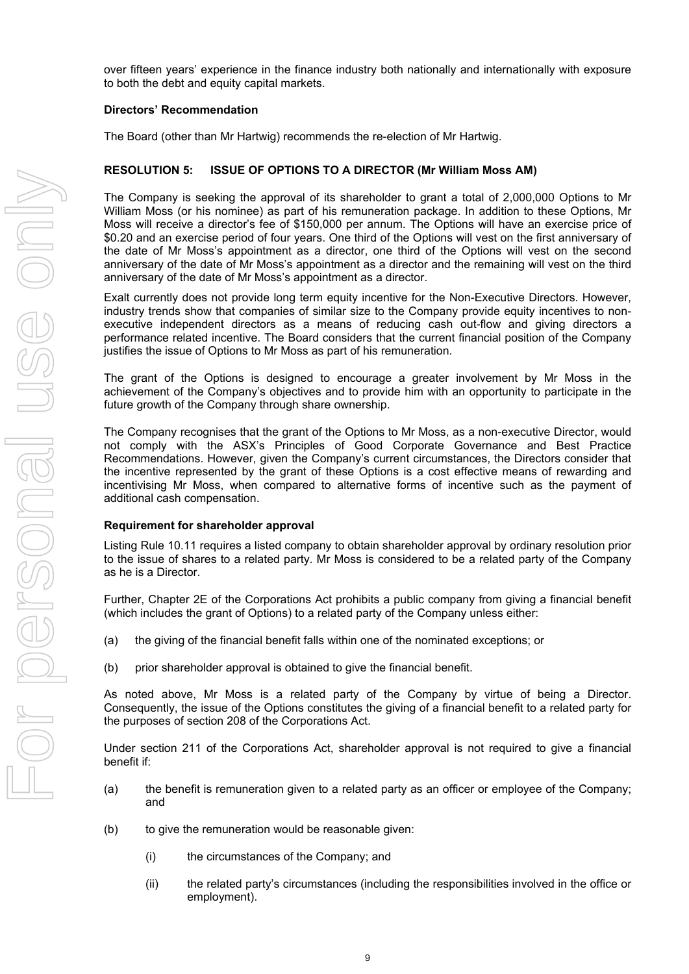over fifteen years' experience in the finance industry both nationally and internationally with exposure to both the debt and equity capital markets.

# **Directors' Recommendation**

The Board (other than Mr Hartwig) recommends the re-election of Mr Hartwig.

# **RESOLUTION 5: ISSUE OF OPTIONS TO A DIRECTOR (Mr William Moss AM)**

The Company is seeking the approval of its shareholder to grant a total of 2,000,000 Options to Mr William Moss (or his nominee) as part of his remuneration package. In addition to these Options, Mr Moss will receive a director's fee of \$150,000 per annum. The Options will have an exercise price of \$0.20 and an exercise period of four years. One third of the Options will vest on the first anniversary of the date of Mr Moss's appointment as a director, one third of the Options will vest on the second anniversary of the date of Mr Moss's appointment as a director and the remaining will vest on the third anniversary of the date of Mr Moss's appointment as a director.

Exalt currently does not provide long term equity incentive for the Non-Executive Directors. However, industry trends show that companies of similar size to the Company provide equity incentives to nonexecutive independent directors as a means of reducing cash out-flow and giving directors a performance related incentive. The Board considers that the current financial position of the Company justifies the issue of Options to Mr Moss as part of his remuneration.

The grant of the Options is designed to encourage a greater involvement by Mr Moss in the achievement of the Company's objectives and to provide him with an opportunity to participate in the future growth of the Company through share ownership.

The Company recognises that the grant of the Options to Mr Moss, as a non-executive Director, would not comply with the ASX's Principles of Good Corporate Governance and Best Practice Recommendations. However, given the Company's current circumstances, the Directors consider that the incentive represented by the grant of these Options is a cost effective means of rewarding and incentivising Mr Moss, when compared to alternative forms of incentive such as the payment of additional cash compensation.

### **Requirement for shareholder approval**

Listing Rule 10.11 requires a listed company to obtain shareholder approval by ordinary resolution prior to the issue of shares to a related party. Mr Moss is considered to be a related party of the Company as he is a Director.

Further, Chapter 2E of the Corporations Act prohibits a public company from giving a financial benefit (which includes the grant of Options) to a related party of the Company unless either:

- (a) the giving of the financial benefit falls within one of the nominated exceptions; or
- (b) prior shareholder approval is obtained to give the financial benefit.

As noted above, Mr Moss is a related party of the Company by virtue of being a Director. Consequently, the issue of the Options constitutes the giving of a financial benefit to a related party for the purposes of section 208 of the Corporations Act.

Under section 211 of the Corporations Act, shareholder approval is not required to give a financial benefit if:

- (a) the benefit is remuneration given to a related party as an officer or employee of the Company; and
- (b) to give the remuneration would be reasonable given:
	- (i) the circumstances of the Company; and
	- (ii) the related party's circumstances (including the responsibilities involved in the office or employment).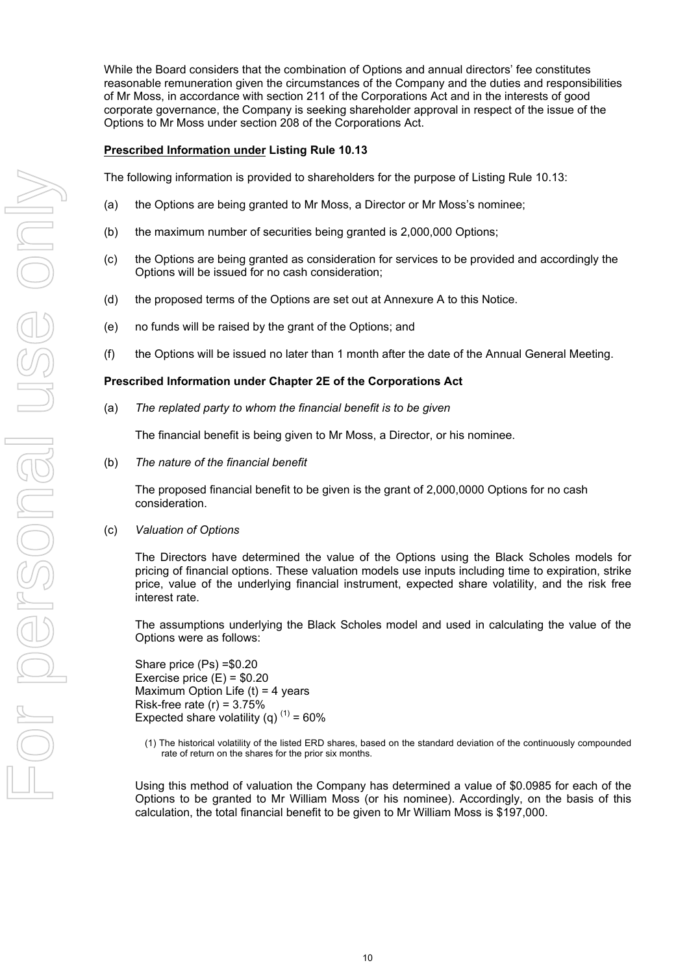While the Board considers that the combination of Options and annual directors' fee constitutes reasonable remuneration given the circumstances of the Company and the duties and responsibilities of Mr Moss, in accordance with section 211 of the Corporations Act and in the interests of good corporate governance, the Company is seeking shareholder approval in respect of the issue of the Options to Mr Moss under section 208 of the Corporations Act.

# **Prescribed Information under Listing Rule 10.13**

The following information is provided to shareholders for the purpose of Listing Rule 10.13:

- (a) the Options are being granted to Mr Moss, a Director or Mr Moss's nominee;
- (b) the maximum number of securities being granted is 2,000,000 Options;
- (c) the Options are being granted as consideration for services to be provided and accordingly the Options will be issued for no cash consideration;
- (d) the proposed terms of the Options are set out at Annexure A to this Notice.
- (e) no funds will be raised by the grant of the Options; and
- (f) the Options will be issued no later than 1 month after the date of the Annual General Meeting.

#### **Prescribed Information under Chapter 2E of the Corporations Act**

(a) *The replated party to whom the financial benefit is to be given* 

The financial benefit is being given to Mr Moss, a Director, or his nominee.

(b) *The nature of the financial benefit* 

The proposed financial benefit to be given is the grant of 2,000,0000 Options for no cash consideration.

(c) *Valuation of Options*

The Directors have determined the value of the Options using the Black Scholes models for pricing of financial options. These valuation models use inputs including time to expiration, strike price, value of the underlying financial instrument, expected share volatility, and the risk free interest rate.

The assumptions underlying the Black Scholes model and used in calculating the value of the Options were as follows:

Share price (Ps) =\$0.20 Exercise price (E) = \$0.20 Maximum Option Life  $(t) = 4$  years Risk-free rate  $(r) = 3.75\%$ Expected share volatility (q)  $(1) = 60\%$ 

(1) The historical volatility of the listed ERD shares, based on the standard deviation of the continuously compounded rate of return on the shares for the prior six months.

Using this method of valuation the Company has determined a value of \$0.0985 for each of the Options to be granted to Mr William Moss (or his nominee). Accordingly, on the basis of this calculation, the total financial benefit to be given to Mr William Moss is \$197,000.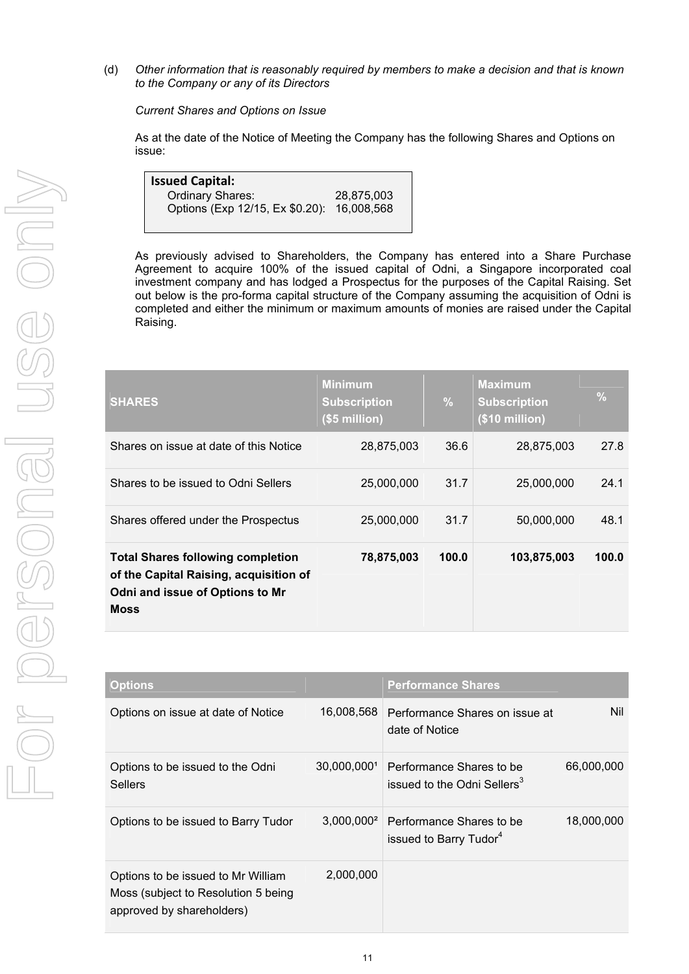(d) *Other information that is reasonably required by members to make a decision and that is known to the Company or any of its Directors* 

*Current Shares and Options on Issue* 

As at the date of the Notice of Meeting the Company has the following Shares and Options on issue:

| <b>Issued Capital:</b>                     |            |
|--------------------------------------------|------------|
| <b>Ordinary Shares:</b>                    | 28,875,003 |
| Options (Exp 12/15, Ex \$0.20): 16,008,568 |            |
|                                            |            |

As previously advised to Shareholders, the Company has entered into a Share Purchase Agreement to acquire 100% of the issued capital of Odni, a Singapore incorporated coal investment company and has lodged a Prospectus for the purposes of the Capital Raising. Set out below is the pro-forma capital structure of the Company assuming the acquisition of Odni is completed and either the minimum or maximum amounts of monies are raised under the Capital Raising.

| <b>SHARES</b>                                                                                                                 | <b>Minimum</b><br><b>Subscription</b><br>$($5$ million $)$ | $\%$  | <b>Maximum</b><br><b>Subscription</b><br>(\$10 million) | $\frac{9}{6}$ |
|-------------------------------------------------------------------------------------------------------------------------------|------------------------------------------------------------|-------|---------------------------------------------------------|---------------|
| Shares on issue at date of this Notice                                                                                        | 28,875,003                                                 | 36.6  | 28,875,003                                              | 27.8          |
| Shares to be issued to Odni Sellers                                                                                           | 25,000,000                                                 | 31.7  | 25,000,000                                              | 24.1          |
| Shares offered under the Prospectus                                                                                           | 25.000.000                                                 | 31.7  | 50.000.000                                              | 48.1          |
| <b>Total Shares following completion</b><br>of the Capital Raising, acquisition of<br>Odni and issue of Options to Mr<br>Moss | 78,875,003                                                 | 100.0 | 103,875,003                                             | 100.0         |

| <b>Options</b>                                                                                          |                        | <b>Performance Shares</b>                                           |            |
|---------------------------------------------------------------------------------------------------------|------------------------|---------------------------------------------------------------------|------------|
| Options on issue at date of Notice                                                                      | 16,008,568             | Performance Shares on issue at<br>date of Notice                    | Nil        |
| Options to be issued to the Odni<br><b>Sellers</b>                                                      | 30,000,0001            | Performance Shares to be<br>issued to the Odni Sellers <sup>3</sup> | 66,000,000 |
| Options to be issued to Barry Tudor                                                                     | 3,000,000 <sup>2</sup> | Performance Shares to be<br>issued to Barry Tudor <sup>4</sup>      | 18,000,000 |
| Options to be issued to Mr William<br>Moss (subject to Resolution 5 being)<br>approved by shareholders) | 2,000,000              |                                                                     |            |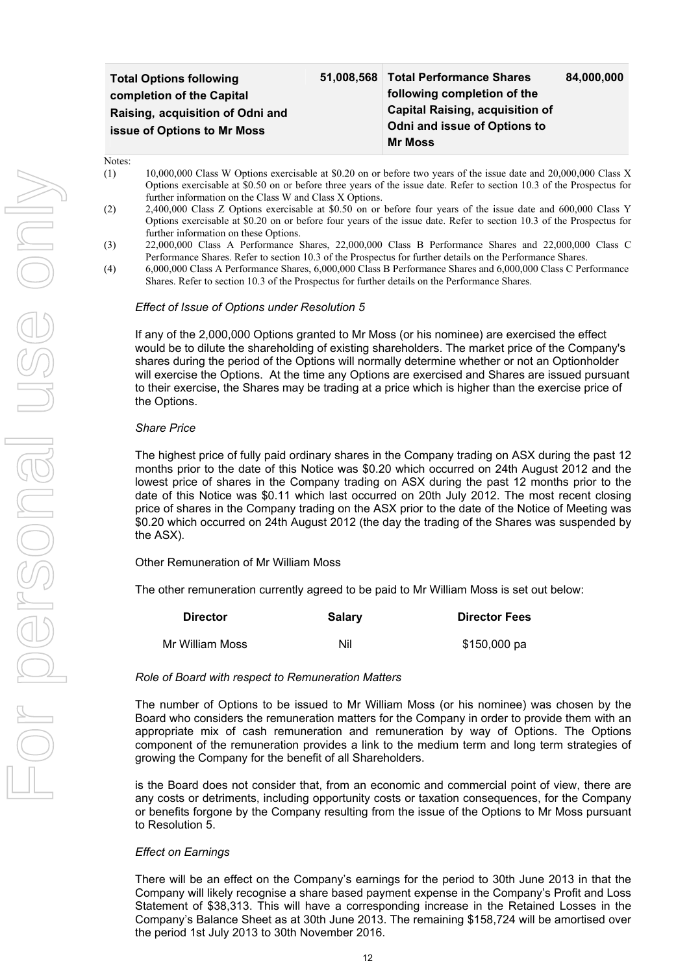| <b>Total Options following</b>   | 51,008,568   Total Performance Shares  | 84,000,000 |
|----------------------------------|----------------------------------------|------------|
| completion of the Capital        | following completion of the            |            |
| Raising, acquisition of Odni and | <b>Capital Raising, acquisition of</b> |            |
| issue of Options to Mr Moss      | Odni and issue of Options to           |            |
|                                  | <b>Mr Moss</b>                         |            |

| эτе<br>c |
|----------|
|----------|

- (1) 10,000,000 Class W Options exercisable at \$0.20 on or before two years of the issue date and 20,000,000 Class X Options exercisable at \$0.50 on or before three years of the issue date. Refer to section 10.3 of the Prospectus for further information on the Class W and Class X Options.
- (2) 2,400,000 Class Z Options exercisable at \$0.50 on or before four years of the issue date and 600,000 Class Y Options exercisable at \$0.20 on or before four years of the issue date. Refer to section 10.3 of the Prospectus for further information on these Options.
- (3) 22,000,000 Class A Performance Shares, 22,000,000 Class B Performance Shares and 22,000,000 Class C Performance Shares. Refer to section 10.3 of the Prospectus for further details on the Performance Shares.
- (4) 6,000,000 Class A Performance Shares, 6,000,000 Class B Performance Shares and 6,000,000 Class C Performance Shares. Refer to section 10.3 of the Prospectus for further details on the Performance Shares.

#### *Effect of Issue of Options under Resolution 5*

If any of the 2,000,000 Options granted to Mr Moss (or his nominee) are exercised the effect would be to dilute the shareholding of existing shareholders. The market price of the Company's shares during the period of the Options will normally determine whether or not an Optionholder will exercise the Options. At the time any Options are exercised and Shares are issued pursuant to their exercise, the Shares may be trading at a price which is higher than the exercise price of the Options.

#### *Share Price*

The highest price of fully paid ordinary shares in the Company trading on ASX during the past 12 months prior to the date of this Notice was \$0.20 which occurred on 24th August 2012 and the lowest price of shares in the Company trading on ASX during the past 12 months prior to the date of this Notice was \$0.11 which last occurred on 20th July 2012. The most recent closing price of shares in the Company trading on the ASX prior to the date of the Notice of Meeting was \$0.20 which occurred on 24th August 2012 (the day the trading of the Shares was suspended by the ASX).

Other Remuneration of Mr William Moss

The other remuneration currently agreed to be paid to Mr William Moss is set out below:

| <b>Director</b> | Salary | <b>Director Fees</b> |
|-----------------|--------|----------------------|
| Mr William Moss | Nil    | \$150,000 pa         |

### *Role of Board with respect to Remuneration Matters*

The number of Options to be issued to Mr William Moss (or his nominee) was chosen by the Board who considers the remuneration matters for the Company in order to provide them with an appropriate mix of cash remuneration and remuneration by way of Options. The Options component of the remuneration provides a link to the medium term and long term strategies of growing the Company for the benefit of all Shareholders.

is the Board does not consider that, from an economic and commercial point of view, there are any costs or detriments, including opportunity costs or taxation consequences, for the Company or benefits forgone by the Company resulting from the issue of the Options to Mr Moss pursuant to Resolution 5.

#### *Effect on Earnings*

There will be an effect on the Company's earnings for the period to 30th June 2013 in that the Company will likely recognise a share based payment expense in the Company's Profit and Loss Statement of \$38,313. This will have a corresponding increase in the Retained Losses in the Company's Balance Sheet as at 30th June 2013. The remaining \$158,724 will be amortised over the period 1st July 2013 to 30th November 2016.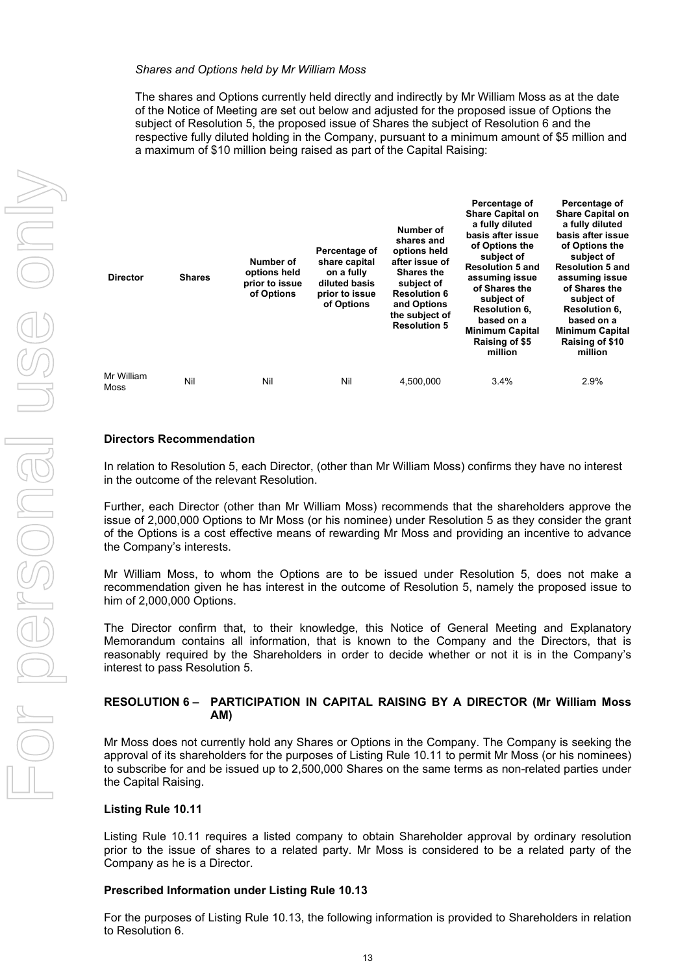The shares and Options currently held directly and indirectly by Mr William Moss as at the date of the Notice of Meeting are set out below and adjusted for the proposed issue of Options the subject of Resolution 5, the proposed issue of Shares the subject of Resolution 6 and the respective fully diluted holding in the Company, pursuant to a minimum amount of \$5 million and a maximum of \$10 million being raised as part of the Capital Raising:

| <b>Director</b>    | <b>Shares</b> | Number of<br>options held<br>prior to issue<br>of Options | Percentage of<br>share capital<br>on a fully<br>diluted basis<br>prior to issue<br>of Options | Number of<br>shares and<br>options held<br>after issue of<br><b>Shares the</b><br>subject of<br><b>Resolution 6</b><br>and Options<br>the subject of<br><b>Resolution 5</b> | Percentage of<br><b>Share Capital on</b><br>a fully diluted<br>basis after issue<br>of Options the<br>subject of<br><b>Resolution 5 and</b><br>assuming issue<br>of Shares the<br>subject of<br><b>Resolution 6.</b><br>based on a<br><b>Minimum Capital</b><br>Raising of \$5<br>million | Percentage of<br><b>Share Capital on</b><br>a fully diluted<br>basis after issue<br>of Options the<br>subject of<br><b>Resolution 5 and</b><br>assuming issue<br>of Shares the<br>subject of<br><b>Resolution 6.</b><br>based on a<br><b>Minimum Capital</b><br>Raising of \$10<br>million |
|--------------------|---------------|-----------------------------------------------------------|-----------------------------------------------------------------------------------------------|-----------------------------------------------------------------------------------------------------------------------------------------------------------------------------|-------------------------------------------------------------------------------------------------------------------------------------------------------------------------------------------------------------------------------------------------------------------------------------------|--------------------------------------------------------------------------------------------------------------------------------------------------------------------------------------------------------------------------------------------------------------------------------------------|
| Mr William<br>Moss | Nil           | Nil                                                       | Nil                                                                                           | 4,500,000                                                                                                                                                                   | 3.4%                                                                                                                                                                                                                                                                                      | 2.9%                                                                                                                                                                                                                                                                                       |

# **Directors Recommendation**

In relation to Resolution 5, each Director, (other than Mr William Moss) confirms they have no interest in the outcome of the relevant Resolution.

Further, each Director (other than Mr William Moss) recommends that the shareholders approve the issue of 2,000,000 Options to Mr Moss (or his nominee) under Resolution 5 as they consider the grant of the Options is a cost effective means of rewarding Mr Moss and providing an incentive to advance the Company's interests.

Mr William Moss, to whom the Options are to be issued under Resolution 5, does not make a recommendation given he has interest in the outcome of Resolution 5, namely the proposed issue to him of 2,000,000 Options.

The Director confirm that, to their knowledge, this Notice of General Meeting and Explanatory Memorandum contains all information, that is known to the Company and the Directors, that is reasonably required by the Shareholders in order to decide whether or not it is in the Company's interest to pass Resolution 5.

# **RESOLUTION 6 – PARTICIPATION IN CAPITAL RAISING BY A DIRECTOR (Mr William Moss AM)**

Mr Moss does not currently hold any Shares or Options in the Company. The Company is seeking the approval of its shareholders for the purposes of Listing Rule 10.11 to permit Mr Moss (or his nominees) to subscribe for and be issued up to 2,500,000 Shares on the same terms as non-related parties under the Capital Raising.

### **Listing Rule 10.11**

Listing Rule 10.11 requires a listed company to obtain Shareholder approval by ordinary resolution prior to the issue of shares to a related party. Mr Moss is considered to be a related party of the Company as he is a Director.

### **Prescribed Information under Listing Rule 10.13**

For the purposes of Listing Rule 10.13, the following information is provided to Shareholders in relation to Resolution 6.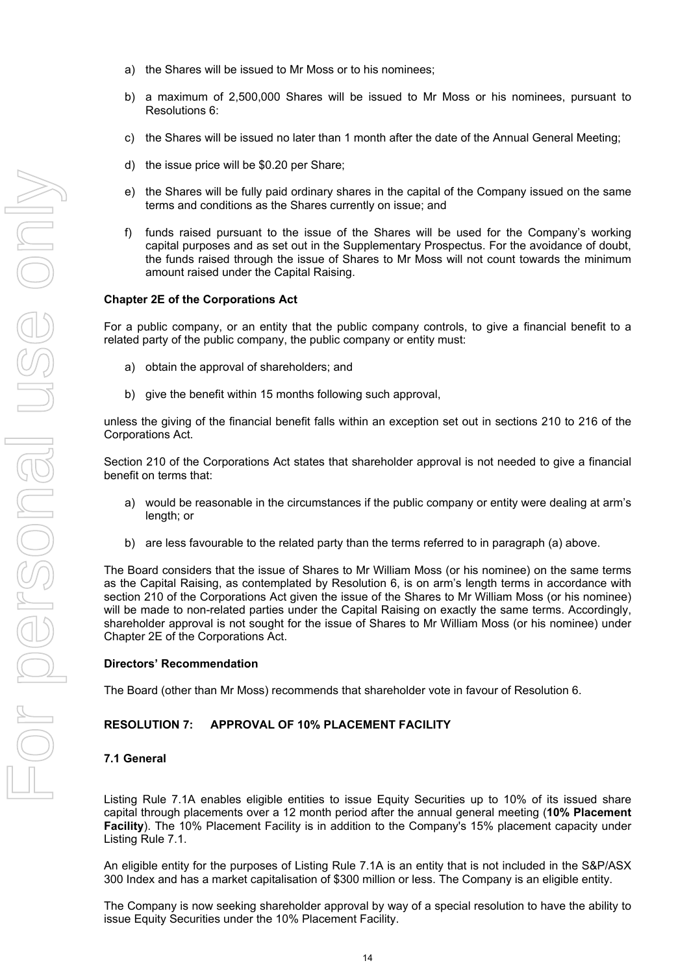- a) the Shares will be issued to Mr Moss or to his nominees;
- b) a maximum of 2,500,000 Shares will be issued to Mr Moss or his nominees, pursuant to Resolutions 6:
- c) the Shares will be issued no later than 1 month after the date of the Annual General Meeting;
- d) the issue price will be \$0.20 per Share;
- e) the Shares will be fully paid ordinary shares in the capital of the Company issued on the same terms and conditions as the Shares currently on issue; and
- f) funds raised pursuant to the issue of the Shares will be used for the Company's working capital purposes and as set out in the Supplementary Prospectus. For the avoidance of doubt, the funds raised through the issue of Shares to Mr Moss will not count towards the minimum amount raised under the Capital Raising.

#### **Chapter 2E of the Corporations Act**

For a public company, or an entity that the public company controls, to give a financial benefit to a related party of the public company, the public company or entity must:

- a) obtain the approval of shareholders; and
- b) give the benefit within 15 months following such approval,

unless the giving of the financial benefit falls within an exception set out in sections 210 to 216 of the Corporations Act.

Section 210 of the Corporations Act states that shareholder approval is not needed to give a financial benefit on terms that:

- a) would be reasonable in the circumstances if the public company or entity were dealing at arm's length; or
- b) are less favourable to the related party than the terms referred to in paragraph (a) above.

The Board considers that the issue of Shares to Mr William Moss (or his nominee) on the same terms as the Capital Raising, as contemplated by Resolution 6, is on arm's length terms in accordance with section 210 of the Corporations Act given the issue of the Shares to Mr William Moss (or his nominee) will be made to non-related parties under the Capital Raising on exactly the same terms. Accordingly, shareholder approval is not sought for the issue of Shares to Mr William Moss (or his nominee) under Chapter 2E of the Corporations Act.

#### **Directors' Recommendation**

The Board (other than Mr Moss) recommends that shareholder vote in favour of Resolution 6.

#### **RESOLUTION 7: APPROVAL OF 10% PLACEMENT FACILITY**

#### **7.1 General**

Listing Rule 7.1A enables eligible entities to issue Equity Securities up to 10% of its issued share capital through placements over a 12 month period after the annual general meeting (**10% Placement Facility**). The 10% Placement Facility is in addition to the Company's 15% placement capacity under Listing Rule 7.1.

An eligible entity for the purposes of Listing Rule 7.1A is an entity that is not included in the S&P/ASX 300 Index and has a market capitalisation of \$300 million or less. The Company is an eligible entity.

The Company is now seeking shareholder approval by way of a special resolution to have the ability to issue Equity Securities under the 10% Placement Facility.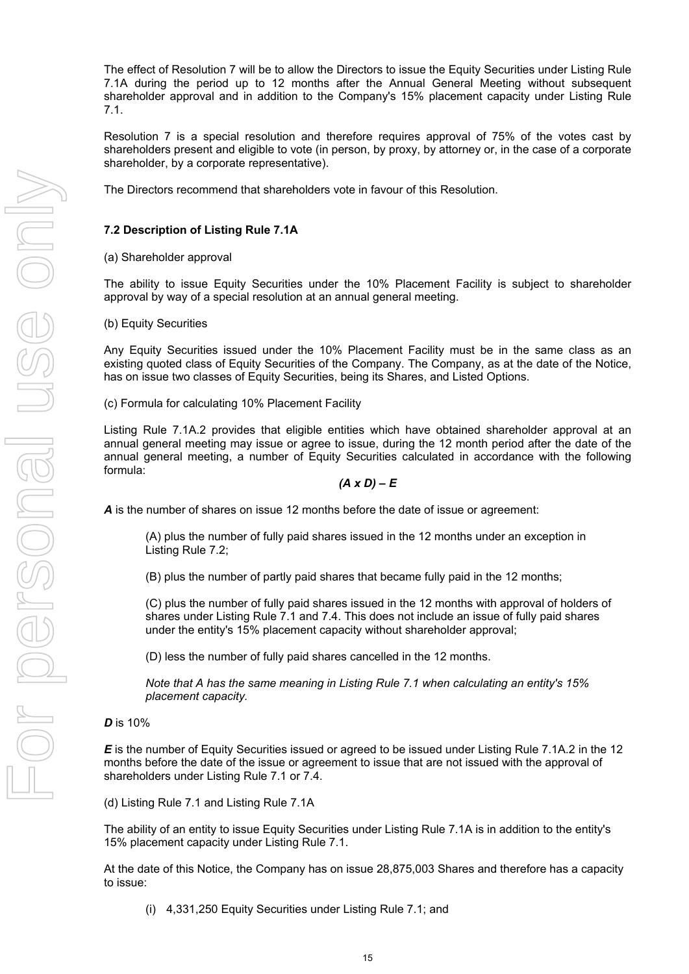The effect of Resolution 7 will be to allow the Directors to issue the Equity Securities under Listing Rule 7.1A during the period up to 12 months after the Annual General Meeting without subsequent shareholder approval and in addition to the Company's 15% placement capacity under Listing Rule 7.1.

Resolution 7 is a special resolution and therefore requires approval of 75% of the votes cast by shareholders present and eligible to vote (in person, by proxy, by attorney or, in the case of a corporate shareholder, by a corporate representative).

The Directors recommend that shareholders vote in favour of this Resolution.

# **7.2 Description of Listing Rule 7.1A**

(a) Shareholder approval

The ability to issue Equity Securities under the 10% Placement Facility is subject to shareholder approval by way of a special resolution at an annual general meeting.

(b) Equity Securities

Any Equity Securities issued under the 10% Placement Facility must be in the same class as an existing quoted class of Equity Securities of the Company. The Company, as at the date of the Notice, has on issue two classes of Equity Securities, being its Shares, and Listed Options.

(c) Formula for calculating 10% Placement Facility

Listing Rule 7.1A.2 provides that eligible entities which have obtained shareholder approval at an annual general meeting may issue or agree to issue, during the 12 month period after the date of the annual general meeting, a number of Equity Securities calculated in accordance with the following formula:

#### *(A x D) – E*

*A* is the number of shares on issue 12 months before the date of issue or agreement:

(A) plus the number of fully paid shares issued in the 12 months under an exception in Listing Rule 7.2;

(B) plus the number of partly paid shares that became fully paid in the 12 months;

(C) plus the number of fully paid shares issued in the 12 months with approval of holders of shares under Listing Rule 7.1 and 7.4. This does not include an issue of fully paid shares under the entity's 15% placement capacity without shareholder approval;

(D) less the number of fully paid shares cancelled in the 12 months.

*Note that A has the same meaning in Listing Rule 7.1 when calculating an entity's 15% placement capacity.* 

*D* is 10%

*E* is the number of Equity Securities issued or agreed to be issued under Listing Rule 7.1A.2 in the 12 months before the date of the issue or agreement to issue that are not issued with the approval of shareholders under Listing Rule 7.1 or 7.4.

(d) Listing Rule 7.1 and Listing Rule 7.1A

The ability of an entity to issue Equity Securities under Listing Rule 7.1A is in addition to the entity's 15% placement capacity under Listing Rule 7.1.

At the date of this Notice, the Company has on issue 28,875,003 Shares and therefore has a capacity to issue:

(i) 4,331,250 Equity Securities under Listing Rule 7.1; and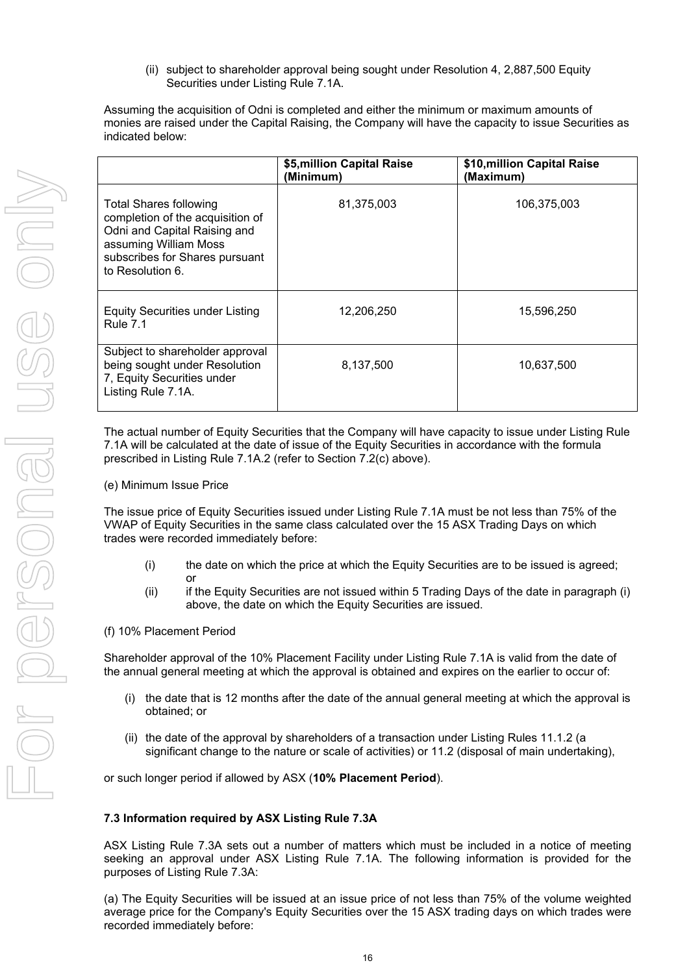(ii) subject to shareholder approval being sought under Resolution 4, 2,887,500 Equity Securities under Listing Rule 7.1A.

Assuming the acquisition of Odni is completed and either the minimum or maximum amounts of monies are raised under the Capital Raising, the Company will have the capacity to issue Securities as indicated below:

|                                                                                                                                                                                  | \$5, million Capital Raise<br>(Minimum) | \$10, million Capital Raise<br>(Maximum) |
|----------------------------------------------------------------------------------------------------------------------------------------------------------------------------------|-----------------------------------------|------------------------------------------|
| <b>Total Shares following</b><br>completion of the acquisition of<br>Odni and Capital Raising and<br>assuming William Moss<br>subscribes for Shares pursuant<br>to Resolution 6. | 81,375,003                              | 106,375,003                              |
| <b>Equity Securities under Listing</b><br>Rule 7.1                                                                                                                               | 12,206,250                              | 15,596,250                               |
| Subject to shareholder approval<br>being sought under Resolution<br>7, Equity Securities under<br>Listing Rule 7.1A.                                                             | 8,137,500                               | 10,637,500                               |

The actual number of Equity Securities that the Company will have capacity to issue under Listing Rule 7.1A will be calculated at the date of issue of the Equity Securities in accordance with the formula prescribed in Listing Rule 7.1A.2 (refer to Section 7.2(c) above).

# (e) Minimum Issue Price

The issue price of Equity Securities issued under Listing Rule 7.1A must be not less than 75% of the VWAP of Equity Securities in the same class calculated over the 15 ASX Trading Days on which trades were recorded immediately before:

- (i) the date on which the price at which the Equity Securities are to be issued is agreed; or
- (ii) if the Equity Securities are not issued within 5 Trading Days of the date in paragraph (i) above, the date on which the Equity Securities are issued.
- (f) 10% Placement Period

Shareholder approval of the 10% Placement Facility under Listing Rule 7.1A is valid from the date of the annual general meeting at which the approval is obtained and expires on the earlier to occur of:

- (i) the date that is 12 months after the date of the annual general meeting at which the approval is obtained; or
- (ii) the date of the approval by shareholders of a transaction under Listing Rules 11.1.2 (a significant change to the nature or scale of activities) or 11.2 (disposal of main undertaking),

or such longer period if allowed by ASX (**10% Placement Period**).

# **7.3 Information required by ASX Listing Rule 7.3A**

ASX Listing Rule 7.3A sets out a number of matters which must be included in a notice of meeting seeking an approval under ASX Listing Rule 7.1A. The following information is provided for the purposes of Listing Rule 7.3A:

(a) The Equity Securities will be issued at an issue price of not less than 75% of the volume weighted average price for the Company's Equity Securities over the 15 ASX trading days on which trades were recorded immediately before: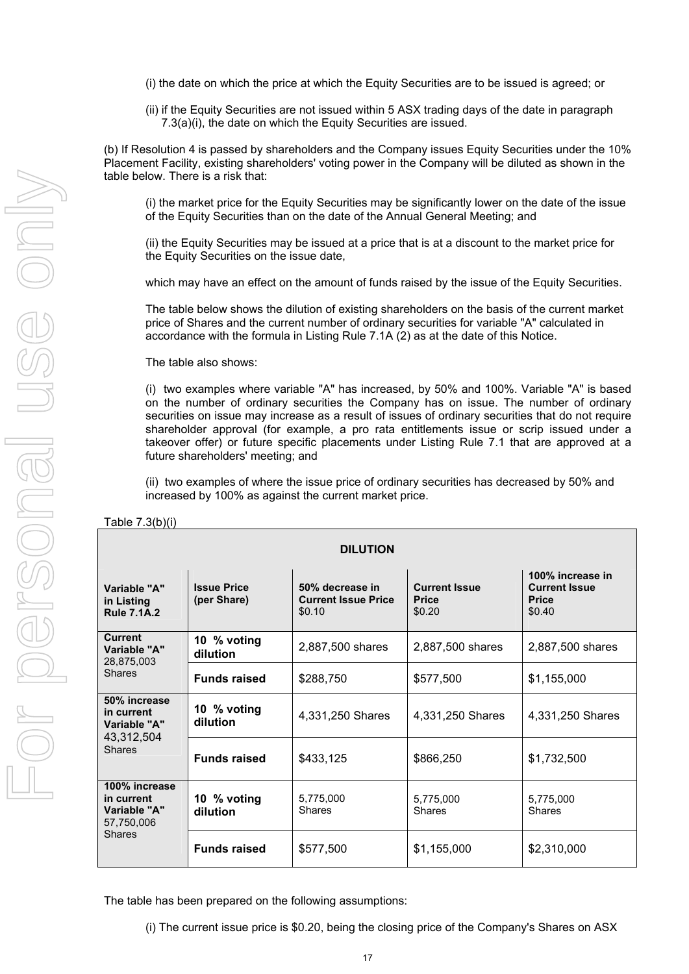(i) the date on which the price at which the Equity Securities are to be issued is agreed; or

(ii) if the Equity Securities are not issued within 5 ASX trading days of the date in paragraph 7.3(a)(i), the date on which the Equity Securities are issued.

(b) If Resolution 4 is passed by shareholders and the Company issues Equity Securities under the 10% Placement Facility, existing shareholders' voting power in the Company will be diluted as shown in the table below. There is a risk that:

(i) the market price for the Equity Securities may be significantly lower on the date of the issue of the Equity Securities than on the date of the Annual General Meeting; and

(ii) the Equity Securities may be issued at a price that is at a discount to the market price for the Equity Securities on the issue date,

which may have an effect on the amount of funds raised by the issue of the Equity Securities.

The table below shows the dilution of existing shareholders on the basis of the current market price of Shares and the current number of ordinary securities for variable "A" calculated in accordance with the formula in Listing Rule 7.1A (2) as at the date of this Notice.

The table also shows:

(i) two examples where variable "A" has increased, by 50% and 100%. Variable "A" is based on the number of ordinary securities the Company has on issue. The number of ordinary securities on issue may increase as a result of issues of ordinary securities that do not require shareholder approval (for example, a pro rata entitlements issue or scrip issued under a takeover offer) or future specific placements under Listing Rule 7.1 that are approved at a future shareholders' meeting; and

(ii) two examples of where the issue price of ordinary securities has decreased by 50% and increased by 100% as against the current market price.

Table 7.3(b)(i)

| <b>DILUTION</b>                                                            |                                   |                                                         |                                                |                                                                    |  |
|----------------------------------------------------------------------------|-----------------------------------|---------------------------------------------------------|------------------------------------------------|--------------------------------------------------------------------|--|
| Variable "A"<br>in Listing<br><b>Rule 7.1A.2</b>                           | <b>Issue Price</b><br>(per Share) | 50% decrease in<br><b>Current Issue Price</b><br>\$0.10 | <b>Current Issue</b><br><b>Price</b><br>\$0.20 | 100% increase in<br><b>Current Issue</b><br><b>Price</b><br>\$0.40 |  |
| Current<br>Variable "A"<br>28,875,003                                      | 10 % voting<br>dilution           | 2,887,500 shares                                        | 2,887,500 shares                               | 2,887,500 shares                                                   |  |
| <b>Shares</b>                                                              | <b>Funds raised</b>               | \$288,750                                               | \$577,500                                      | \$1,155,000                                                        |  |
| 50% increase<br>in current<br>Variable "A"<br>43,312,504<br><b>Shares</b>  | 10 % voting<br>dilution           | 4,331,250 Shares                                        | 4,331,250 Shares                               | 4,331,250 Shares                                                   |  |
|                                                                            | <b>Funds raised</b>               | \$433,125                                               | \$866,250                                      | \$1,732,500                                                        |  |
| 100% increase<br>in current<br>Variable "A"<br>57,750,006<br><b>Shares</b> | 10 % voting<br>dilution           | 5,775,000<br><b>Shares</b>                              | 5,775,000<br>Shares                            | 5,775,000<br><b>Shares</b>                                         |  |
|                                                                            | <b>Funds raised</b>               | \$577,500                                               | \$1,155,000                                    | \$2,310,000                                                        |  |

The table has been prepared on the following assumptions:

(i) The current issue price is \$0.20, being the closing price of the Company's Shares on ASX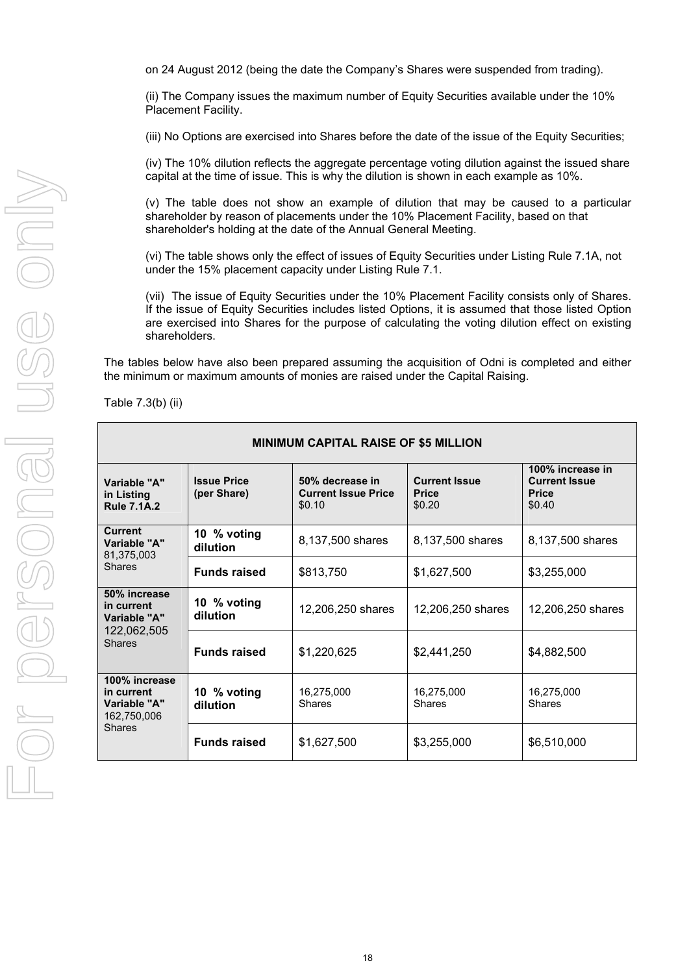on 24 August 2012 (being the date the Company's Shares were suspended from trading).

(ii) The Company issues the maximum number of Equity Securities available under the 10% Placement Facility.

(iii) No Options are exercised into Shares before the date of the issue of the Equity Securities;

(iv) The 10% dilution reflects the aggregate percentage voting dilution against the issued share capital at the time of issue. This is why the dilution is shown in each example as 10%.

(v) The table does not show an example of dilution that may be caused to a particular shareholder by reason of placements under the 10% Placement Facility, based on that shareholder's holding at the date of the Annual General Meeting.

(vi) The table shows only the effect of issues of Equity Securities under Listing Rule 7.1A, not under the 15% placement capacity under Listing Rule 7.1.

(vii) The issue of Equity Securities under the 10% Placement Facility consists only of Shares. If the issue of Equity Securities includes listed Options, it is assumed that those listed Option are exercised into Shares for the purpose of calculating the voting dilution effect on existing shareholders.

The tables below have also been prepared assuming the acquisition of Odni is completed and either the minimum or maximum amounts of monies are raised under the Capital Raising.

Table 7.3(b) (ii)

| <b>MINIMUM CAPITAL RAISE OF \$5 MILLION</b>                                 |                                   |                                                         |                                                |                                                                    |  |
|-----------------------------------------------------------------------------|-----------------------------------|---------------------------------------------------------|------------------------------------------------|--------------------------------------------------------------------|--|
| Variable "A"<br>in Listing<br><b>Rule 7.1A.2</b>                            | <b>Issue Price</b><br>(per Share) | 50% decrease in<br><b>Current Issue Price</b><br>\$0.10 | <b>Current Issue</b><br><b>Price</b><br>\$0.20 | 100% increase in<br><b>Current Issue</b><br><b>Price</b><br>\$0.40 |  |
| <b>Current</b><br>Variable "A"<br>81,375,003<br><b>Shares</b>               | 10 % voting<br>dilution           | 8,137,500 shares                                        | 8,137,500 shares                               | 8,137,500 shares                                                   |  |
|                                                                             | <b>Funds raised</b>               | \$813,750                                               | \$1,627,500                                    | \$3,255,000                                                        |  |
| 50% increase<br>in current<br>Variable "A"<br>122,062,505<br><b>Shares</b>  | 10 % voting<br>dilution           | 12,206,250 shares                                       | 12,206,250 shares                              | 12,206,250 shares                                                  |  |
|                                                                             | <b>Funds raised</b>               | \$1,220,625                                             | \$2,441,250                                    | \$4,882,500                                                        |  |
| 100% increase<br>in current<br>Variable "A"<br>162,750,006<br><b>Shares</b> | 10 % voting<br>dilution           | 16,275,000<br><b>Shares</b>                             | 16,275,000<br><b>Shares</b>                    | 16,275,000<br><b>Shares</b>                                        |  |
|                                                                             | <b>Funds raised</b>               | \$1,627,500                                             | \$3,255,000                                    | \$6,510,000                                                        |  |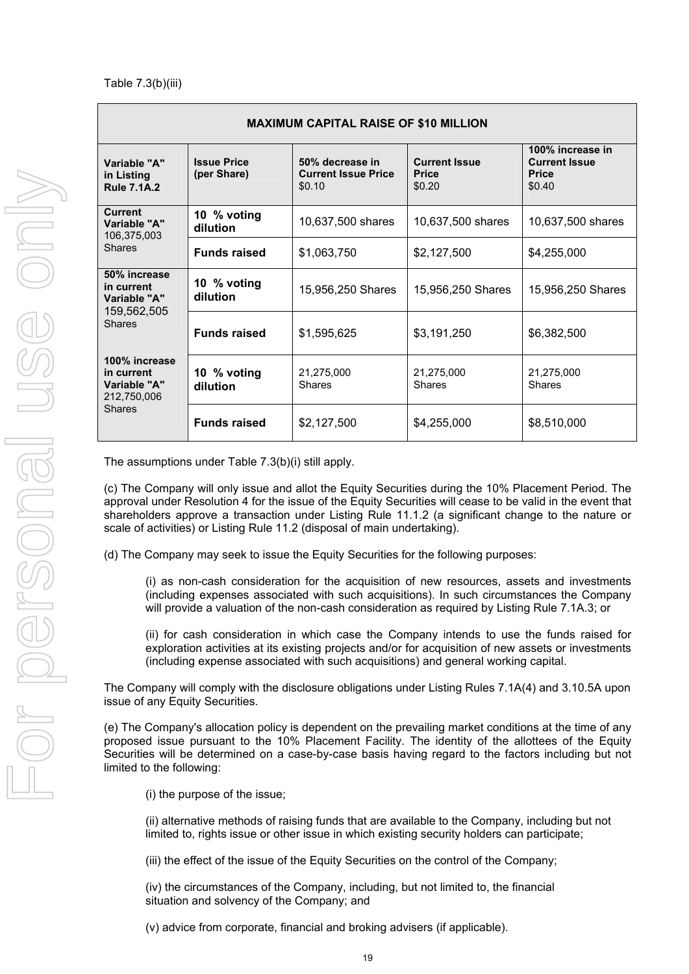| <b>MAXIMUM CAPITAL RAISE OF \$10 MILLION</b>                                |                                   |                                                         |                                                |                                                                    |
|-----------------------------------------------------------------------------|-----------------------------------|---------------------------------------------------------|------------------------------------------------|--------------------------------------------------------------------|
| Variable "A"<br>in Listing<br><b>Rule 7.1A.2</b>                            | <b>Issue Price</b><br>(per Share) | 50% decrease in<br><b>Current Issue Price</b><br>\$0.10 | <b>Current Issue</b><br><b>Price</b><br>\$0.20 | 100% increase in<br><b>Current Issue</b><br><b>Price</b><br>\$0.40 |
| <b>Current</b><br>Variable "A"<br>106,375,003                               | 10 % voting<br><b>dilution</b>    | 10,637,500 shares                                       | 10,637,500 shares                              | 10,637,500 shares                                                  |
| <b>Shares</b>                                                               | <b>Funds raised</b>               | \$1,063,750                                             | \$2,127,500                                    | \$4,255,000                                                        |
| 50% increase<br>in current<br>Variable "A"<br>159,562,505<br><b>Shares</b>  | 10 % voting<br><b>dilution</b>    | 15,956,250 Shares                                       | 15,956,250 Shares                              | 15,956,250 Shares                                                  |
|                                                                             | <b>Funds raised</b>               | \$1,595,625                                             | \$3,191,250                                    | \$6,382,500                                                        |
| 100% increase<br>in current<br>Variable "A"<br>212,750,006<br><b>Shares</b> | 10 % voting<br>dilution           | 21,275,000<br><b>Shares</b>                             | 21,275,000<br>Shares                           | 21,275,000<br><b>Shares</b>                                        |
|                                                                             | <b>Funds raised</b>               | \$2,127,500                                             | \$4,255,000                                    | \$8,510,000                                                        |

The assumptions under Table 7.3(b)(i) still apply.

(c) The Company will only issue and allot the Equity Securities during the 10% Placement Period. The approval under Resolution 4 for the issue of the Equity Securities will cease to be valid in the event that shareholders approve a transaction under Listing Rule 11.1.2 (a significant change to the nature or scale of activities) or Listing Rule 11.2 (disposal of main undertaking).

(d) The Company may seek to issue the Equity Securities for the following purposes:

(i) as non-cash consideration for the acquisition of new resources, assets and investments (including expenses associated with such acquisitions). In such circumstances the Company will provide a valuation of the non-cash consideration as required by Listing Rule 7.1A.3; or

(ii) for cash consideration in which case the Company intends to use the funds raised for exploration activities at its existing projects and/or for acquisition of new assets or investments (including expense associated with such acquisitions) and general working capital.

The Company will comply with the disclosure obligations under Listing Rules 7.1A(4) and 3.10.5A upon issue of any Equity Securities.

(e) The Company's allocation policy is dependent on the prevailing market conditions at the time of any proposed issue pursuant to the 10% Placement Facility. The identity of the allottees of the Equity Securities will be determined on a case-by-case basis having regard to the factors including but not limited to the following:

(i) the purpose of the issue;

(ii) alternative methods of raising funds that are available to the Company, including but not limited to, rights issue or other issue in which existing security holders can participate;

(iii) the effect of the issue of the Equity Securities on the control of the Company;

(iv) the circumstances of the Company, including, but not limited to, the financial situation and solvency of the Company; and

(v) advice from corporate, financial and broking advisers (if applicable).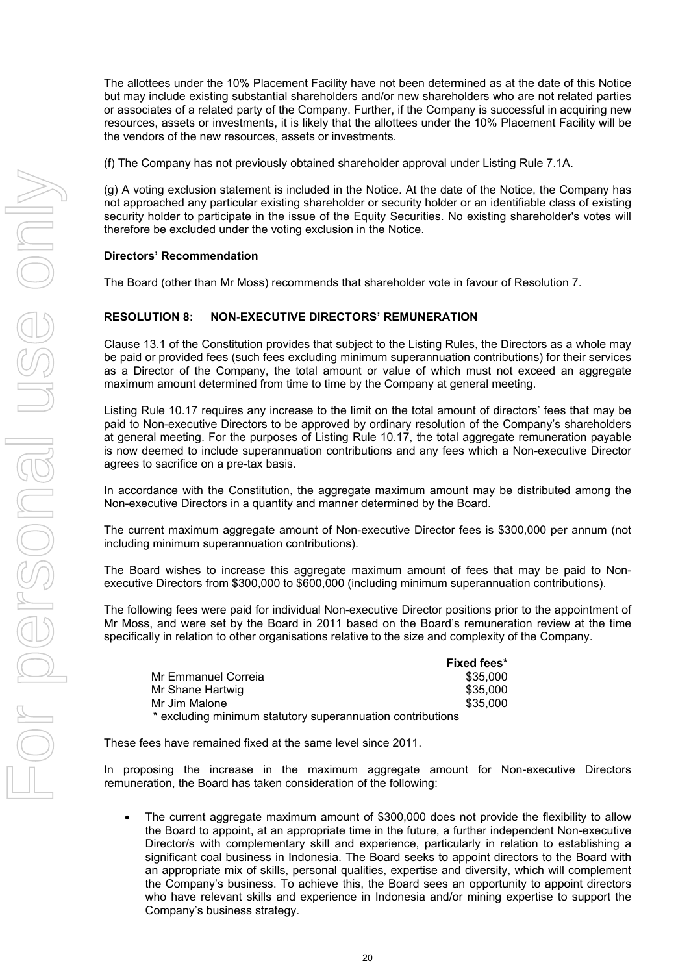The allottees under the 10% Placement Facility have not been determined as at the date of this Notice but may include existing substantial shareholders and/or new shareholders who are not related parties or associates of a related party of the Company. Further, if the Company is successful in acquiring new resources, assets or investments, it is likely that the allottees under the 10% Placement Facility will be the vendors of the new resources, assets or investments.

(f) The Company has not previously obtained shareholder approval under Listing Rule 7.1A.

(g) A voting exclusion statement is included in the Notice. At the date of the Notice, the Company has not approached any particular existing shareholder or security holder or an identifiable class of existing security holder to participate in the issue of the Equity Securities. No existing shareholder's votes will therefore be excluded under the voting exclusion in the Notice.

### **Directors' Recommendation**

The Board (other than Mr Moss) recommends that shareholder vote in favour of Resolution 7.

### **RESOLUTION 8: NON-EXECUTIVE DIRECTORS' REMUNERATION**

Clause 13.1 of the Constitution provides that subject to the Listing Rules, the Directors as a whole may be paid or provided fees (such fees excluding minimum superannuation contributions) for their services as a Director of the Company, the total amount or value of which must not exceed an aggregate maximum amount determined from time to time by the Company at general meeting.

Listing Rule 10.17 requires any increase to the limit on the total amount of directors' fees that may be paid to Non-executive Directors to be approved by ordinary resolution of the Company's shareholders at general meeting. For the purposes of Listing Rule 10.17, the total aggregate remuneration payable is now deemed to include superannuation contributions and any fees which a Non-executive Director agrees to sacrifice on a pre-tax basis.

In accordance with the Constitution, the aggregate maximum amount may be distributed among the Non-executive Directors in a quantity and manner determined by the Board.

The current maximum aggregate amount of Non-executive Director fees is \$300,000 per annum (not including minimum superannuation contributions).

The Board wishes to increase this aggregate maximum amount of fees that may be paid to Nonexecutive Directors from \$300,000 to \$600,000 (including minimum superannuation contributions).

The following fees were paid for individual Non-executive Director positions prior to the appointment of Mr Moss, and were set by the Board in 2011 based on the Board's remuneration review at the time specifically in relation to other organisations relative to the size and complexity of the Company.

|                                                            | <b>Fixed fees*</b> |
|------------------------------------------------------------|--------------------|
| Mr Emmanuel Correia                                        | \$35,000           |
| Mr Shane Hartwig                                           | \$35,000           |
| Mr Jim Malone                                              | \$35,000           |
| * excluding minimum statutory superannuation contributions |                    |

These fees have remained fixed at the same level since 2011.

In proposing the increase in the maximum aggregate amount for Non-executive Directors remuneration, the Board has taken consideration of the following:

 The current aggregate maximum amount of \$300,000 does not provide the flexibility to allow the Board to appoint, at an appropriate time in the future, a further independent Non-executive Director/s with complementary skill and experience, particularly in relation to establishing a significant coal business in Indonesia. The Board seeks to appoint directors to the Board with an appropriate mix of skills, personal qualities, expertise and diversity, which will complement the Company's business. To achieve this, the Board sees an opportunity to appoint directors who have relevant skills and experience in Indonesia and/or mining expertise to support the Company's business strategy.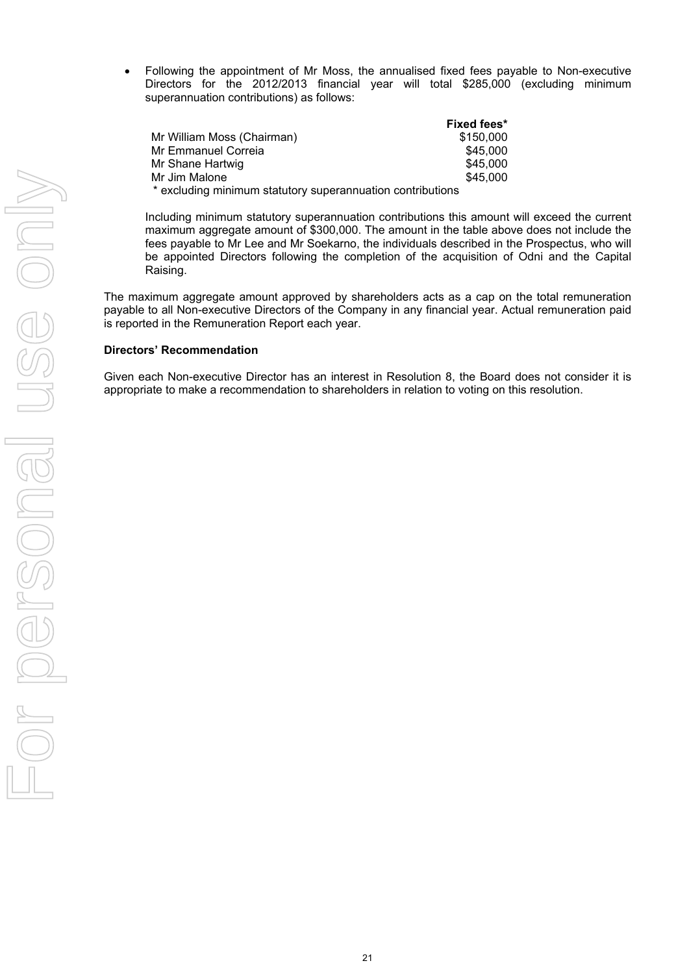Following the appointment of Mr Moss, the annualised fixed fees payable to Non-executive Directors for the 2012/2013 financial year will total \$285,000 (excluding minimum superannuation contributions) as follows:

|                                                            | <b>Fixed fees*</b> |
|------------------------------------------------------------|--------------------|
| Mr William Moss (Chairman)                                 | \$150,000          |
| Mr Emmanuel Correia                                        | \$45,000           |
| Mr Shane Hartwig                                           | \$45,000           |
| Mr Jim Malone                                              | \$45,000           |
| * excluding minimum statutory superannuation contributions |                    |

Including minimum statutory superannuation contributions this amount will exceed the current maximum aggregate amount of \$300,000. The amount in the table above does not include the fees payable to Mr Lee and Mr Soekarno, the individuals described in the Prospectus, who will be appointed Directors following the completion of the acquisition of Odni and the Capital Raising.

The maximum aggregate amount approved by shareholders acts as a cap on the total remuneration payable to all Non-executive Directors of the Company in any financial year. Actual remuneration paid is reported in the Remuneration Report each year.

### **Directors' Recommendation**

Given each Non-executive Director has an interest in Resolution 8, the Board does not consider it is appropriate to make a recommendation to shareholders in relation to voting on this resolution.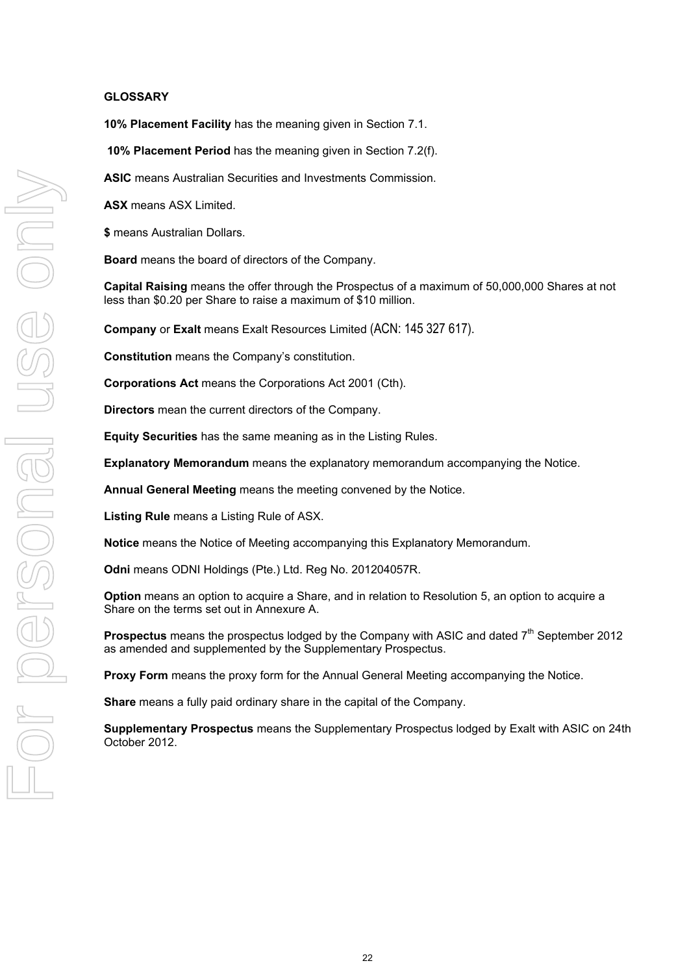# **GLOSSARY**

**10% Placement Facility** has the meaning given in Section 7.1.

 **10% Placement Period** has the meaning given in Section 7.2(f).

**ASIC** means Australian Securities and Investments Commission.

**ASX** means ASX Limited.

**\$** means Australian Dollars.

**Board** means the board of directors of the Company.

**Capital Raising** means the offer through the Prospectus of a maximum of 50,000,000 Shares at not less than \$0.20 per Share to raise a maximum of \$10 million.

**Company** or **Exalt** means Exalt Resources Limited (ACN: 145 327 617).

**Constitution** means the Company's constitution.

**Corporations Act** means the Corporations Act 2001 (Cth).

**Directors** mean the current directors of the Company.

**Equity Securities** has the same meaning as in the Listing Rules.

**Explanatory Memorandum** means the explanatory memorandum accompanying the Notice.

**Annual General Meeting** means the meeting convened by the Notice.

**Listing Rule** means a Listing Rule of ASX.

**Notice** means the Notice of Meeting accompanying this Explanatory Memorandum.

**Odni** means ODNI Holdings (Pte.) Ltd. Reg No. 201204057R.

**Option** means an option to acquire a Share, and in relation to Resolution 5, an option to acquire a Share on the terms set out in Annexure A.

**Prospectus** means the prospectus lodged by the Company with ASIC and dated 7<sup>th</sup> September 2012 as amended and supplemented by the Supplementary Prospectus.

**Proxy Form** means the proxy form for the Annual General Meeting accompanying the Notice.

**Share** means a fully paid ordinary share in the capital of the Company.

**Supplementary Prospectus** means the Supplementary Prospectus lodged by Exalt with ASIC on 24th October 2012.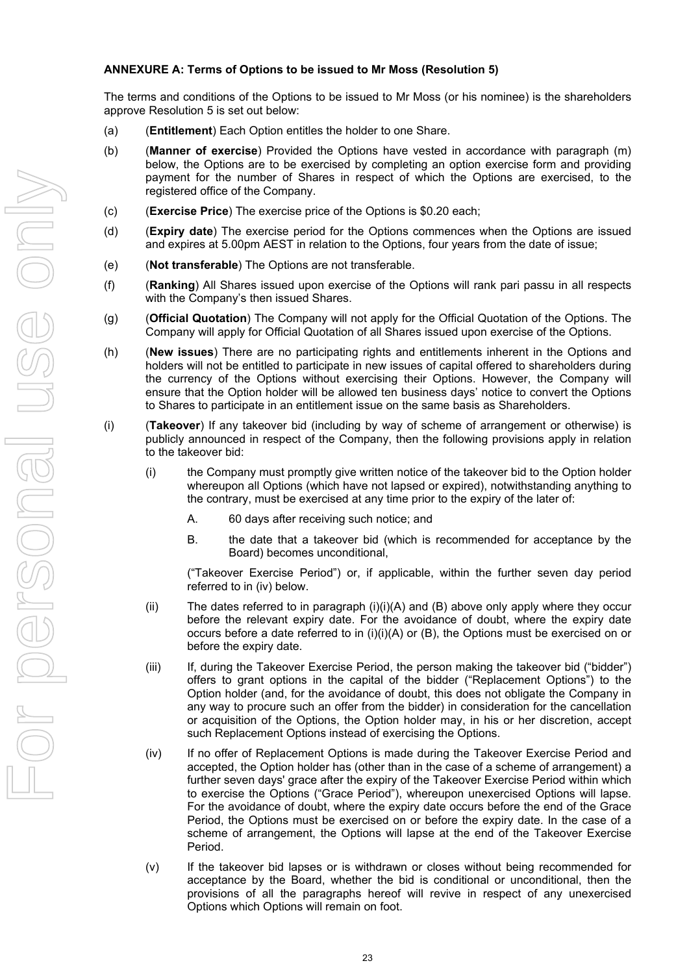# **ANNEXURE A: Terms of Options to be issued to Mr Moss (Resolution 5)**

The terms and conditions of the Options to be issued to Mr Moss (or his nominee) is the shareholders approve Resolution 5 is set out below:

- (a) (**Entitlement**) Each Option entitles the holder to one Share.
- (b) (**Manner of exercise**) Provided the Options have vested in accordance with paragraph (m) below, the Options are to be exercised by completing an option exercise form and providing payment for the number of Shares in respect of which the Options are exercised, to the registered office of the Company.
- (c) (**Exercise Price**) The exercise price of the Options is \$0.20 each;
- (d) (**Expiry date**) The exercise period for the Options commences when the Options are issued and expires at 5.00pm AEST in relation to the Options, four years from the date of issue;
- (e) (**Not transferable**) The Options are not transferable.
- (f) (**Ranking**) All Shares issued upon exercise of the Options will rank pari passu in all respects with the Company's then issued Shares.
- (g) (**Official Quotation**) The Company will not apply for the Official Quotation of the Options. The Company will apply for Official Quotation of all Shares issued upon exercise of the Options.
- (h) (**New issues**) There are no participating rights and entitlements inherent in the Options and holders will not be entitled to participate in new issues of capital offered to shareholders during the currency of the Options without exercising their Options. However, the Company will ensure that the Option holder will be allowed ten business days' notice to convert the Options to Shares to participate in an entitlement issue on the same basis as Shareholders.
- (i) (**Takeover**) If any takeover bid (including by way of scheme of arrangement or otherwise) is publicly announced in respect of the Company, then the following provisions apply in relation to the takeover bid:
	- (i) the Company must promptly give written notice of the takeover bid to the Option holder whereupon all Options (which have not lapsed or expired), notwithstanding anything to the contrary, must be exercised at any time prior to the expiry of the later of:
		- A. 60 days after receiving such notice; and
		- B. the date that a takeover bid (which is recommended for acceptance by the Board) becomes unconditional,

("Takeover Exercise Period") or, if applicable, within the further seven day period referred to in (iv) below.

- (ii) The dates referred to in paragraph  $(i)(i)(A)$  and  $(B)$  above only apply where they occur before the relevant expiry date. For the avoidance of doubt, where the expiry date occurs before a date referred to in  $(i)(i)(A)$  or  $(B)$ , the Options must be exercised on or before the expiry date.
- (iii) If, during the Takeover Exercise Period, the person making the takeover bid ("bidder") offers to grant options in the capital of the bidder ("Replacement Options") to the Option holder (and, for the avoidance of doubt, this does not obligate the Company in any way to procure such an offer from the bidder) in consideration for the cancellation or acquisition of the Options, the Option holder may, in his or her discretion, accept such Replacement Options instead of exercising the Options.
- (iv) If no offer of Replacement Options is made during the Takeover Exercise Period and accepted, the Option holder has (other than in the case of a scheme of arrangement) a further seven days' grace after the expiry of the Takeover Exercise Period within which to exercise the Options ("Grace Period"), whereupon unexercised Options will lapse. For the avoidance of doubt, where the expiry date occurs before the end of the Grace Period, the Options must be exercised on or before the expiry date. In the case of a scheme of arrangement, the Options will lapse at the end of the Takeover Exercise Period.
- (v) If the takeover bid lapses or is withdrawn or closes without being recommended for acceptance by the Board, whether the bid is conditional or unconditional, then the provisions of all the paragraphs hereof will revive in respect of any unexercised Options which Options will remain on foot.